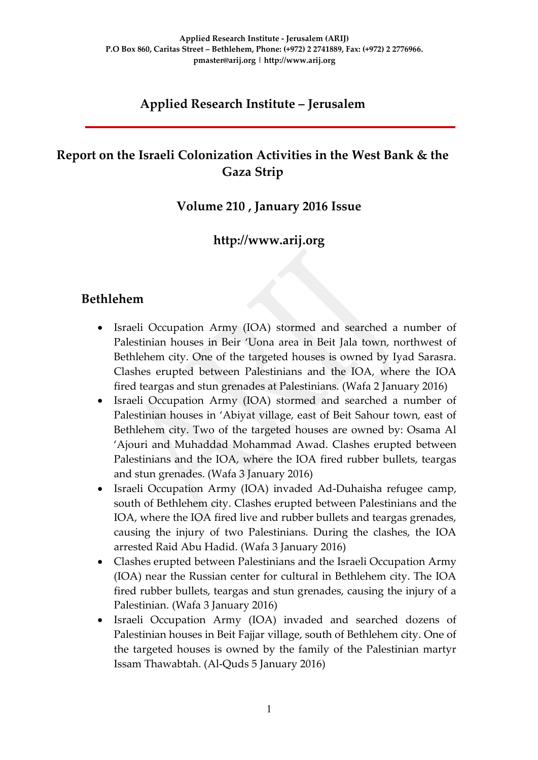# **Applied Research Institute – Jerusalem**

# **Report on the Israeli Colonization Activities in the West Bank & the Gaza Strip**

### **Volume 210 , January 2016 Issue**

### **http://www.arij.org**

### **Bethlehem**

- Israeli Occupation Army (IOA) stormed and searched a number of Palestinian houses in Beir 'Uona area in Beit Jala town, northwest of Bethlehem city. One of the targeted houses is owned by Iyad Sarasra. Clashes erupted between Palestinians and the IOA, where the IOA fired teargas and stun grenades at Palestinians. (Wafa 2 January 2016)
- Israeli Occupation Army (IOA) stormed and searched a number of Palestinian houses in 'Abiyat village, east of Beit Sahour town, east of Bethlehem city. Two of the targeted houses are owned by: Osama Al 'Ajouri and Muhaddad Mohammad Awad. Clashes erupted between Palestinians and the IOA, where the IOA fired rubber bullets, teargas and stun grenades. (Wafa 3 January 2016)
- Israeli Occupation Army (IOA) invaded Ad-Duhaisha refugee camp, south of Bethlehem city. Clashes erupted between Palestinians and the IOA, where the IOA fired live and rubber bullets and teargas grenades, causing the injury of two Palestinians. During the clashes, the IOA arrested Raid Abu Hadid. (Wafa 3 January 2016)
- Clashes erupted between Palestinians and the Israeli Occupation Army (IOA) near the Russian center for cultural in Bethlehem city. The IOA fired rubber bullets, teargas and stun grenades, causing the injury of a Palestinian. (Wafa 3 January 2016)
- Israeli Occupation Army (IOA) invaded and searched dozens of Palestinian houses in Beit Fajjar village, south of Bethlehem city. One of the targeted houses is owned by the family of the Palestinian martyr Issam Thawabtah. (Al-Quds 5 January 2016)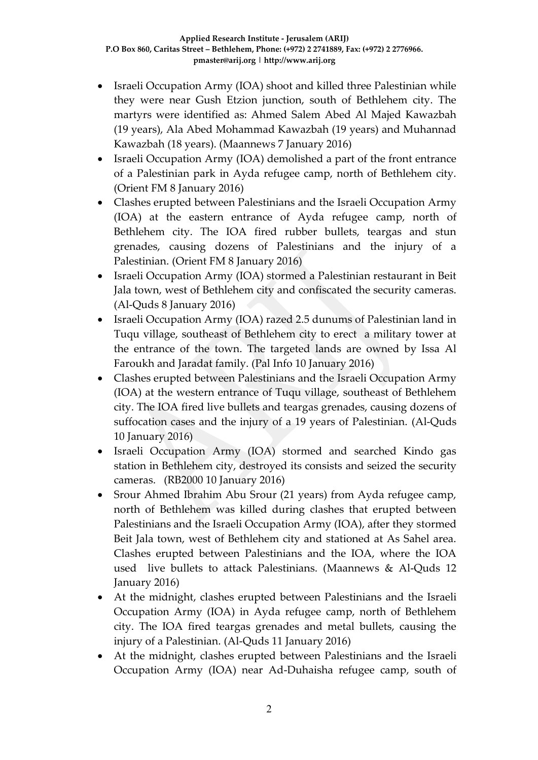- Israeli Occupation Army (IOA) shoot and killed three Palestinian while they were near Gush Etzion junction, south of Bethlehem city. The martyrs were identified as: Ahmed Salem Abed Al Majed Kawazbah (19 years), Ala Abed Mohammad Kawazbah (19 years) and Muhannad Kawazbah (18 years). (Maannews 7 January 2016)
- Israeli Occupation Army (IOA) demolished a part of the front entrance of a Palestinian park in Ayda refugee camp, north of Bethlehem city. (Orient FM 8 January 2016)
- Clashes erupted between Palestinians and the Israeli Occupation Army (IOA) at the eastern entrance of Ayda refugee camp, north of Bethlehem city. The IOA fired rubber bullets, teargas and stun grenades, causing dozens of Palestinians and the injury of a Palestinian. (Orient FM 8 January 2016)
- Israeli Occupation Army (IOA) stormed a Palestinian restaurant in Beit Jala town, west of Bethlehem city and confiscated the security cameras. (Al-Quds 8 January 2016)
- Israeli Occupation Army (IOA) razed 2.5 dunums of Palestinian land in Tuqu village, southeast of Bethlehem city to erect a military tower at the entrance of the town. The targeted lands are owned by Issa Al Faroukh and Jaradat family. (Pal Info 10 January 2016)
- Clashes erupted between Palestinians and the Israeli Occupation Army (IOA) at the western entrance of Tuqu village, southeast of Bethlehem city. The IOA fired live bullets and teargas grenades, causing dozens of suffocation cases and the injury of a 19 years of Palestinian. (Al-Quds 10 January 2016)
- Israeli Occupation Army (IOA) stormed and searched Kindo gas station in Bethlehem city, destroyed its consists and seized the security cameras. (RB2000 10 January 2016)
- Srour Ahmed Ibrahim Abu Srour (21 years) from Ayda refugee camp, north of Bethlehem was killed during clashes that erupted between Palestinians and the Israeli Occupation Army (IOA), after they stormed Beit Jala town, west of Bethlehem city and stationed at As Sahel area. Clashes erupted between Palestinians and the IOA, where the IOA used live bullets to attack Palestinians. (Maannews & Al-Quds 12 January 2016)
- At the midnight, clashes erupted between Palestinians and the Israeli Occupation Army (IOA) in Ayda refugee camp, north of Bethlehem city. The IOA fired teargas grenades and metal bullets, causing the injury of a Palestinian. (Al-Quds 11 January 2016)
- At the midnight, clashes erupted between Palestinians and the Israeli Occupation Army (IOA) near Ad-Duhaisha refugee camp, south of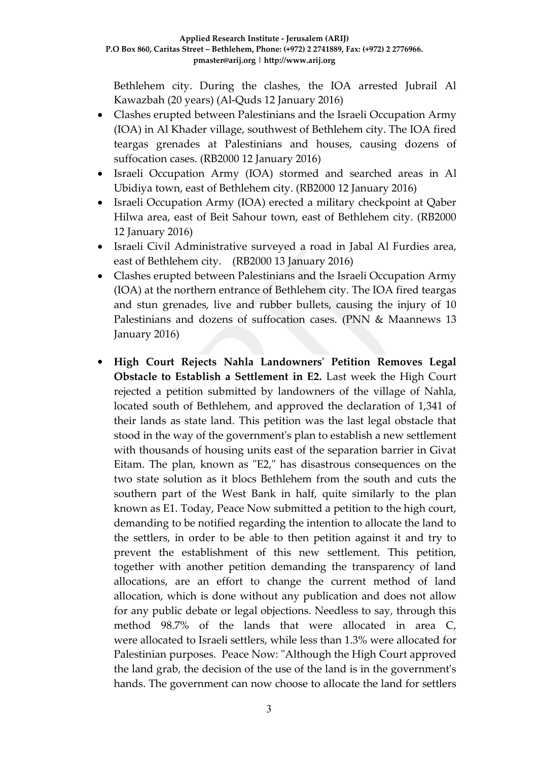Bethlehem city. During the clashes, the IOA arrested Jubrail Al Kawazbah (20 years) (Al-Quds 12 January 2016)

- Clashes erupted between Palestinians and the Israeli Occupation Army (IOA) in Al Khader village, southwest of Bethlehem city. The IOA fired teargas grenades at Palestinians and houses, causing dozens of suffocation cases. (RB2000 12 January 2016)
- Israeli Occupation Army (IOA) stormed and searched areas in Al Ubidiya town, east of Bethlehem city. (RB2000 12 January 2016)
- Israeli Occupation Army (IOA) erected a military checkpoint at Qaber Hilwa area, east of Beit Sahour town, east of Bethlehem city. (RB2000 12 January 2016)
- Israeli Civil Administrative surveyed a road in Jabal Al Furdies area, east of Bethlehem city. (RB2000 13 January 2016)
- Clashes erupted between Palestinians and the Israeli Occupation Army (IOA) at the northern entrance of Bethlehem city. The IOA fired teargas and stun grenades, live and rubber bullets, causing the injury of 10 Palestinians and dozens of suffocation cases. (PNN & Maannews 13 January 2016)
- **High Court Rejects Nahla Landowners' Petition Removes Legal Obstacle to Establish a Settlement in E2.** Last week the High Court rejected a petition submitted by landowners of the village of Nahla, located south of Bethlehem, and approved the declaration of 1,341 of their lands as state land. This petition was the last legal obstacle that stood in the way of the government's plan to establish a new settlement with thousands of housing units east of the separation barrier in Givat Eitam. The plan, known as "E2," has disastrous consequences on the two state solution as it blocs Bethlehem from the south and cuts the southern part of the West Bank in half, quite similarly to the plan known as E1. Today, Peace Now submitted a petition to the high court, demanding to be notified regarding the intention to allocate the land to the settlers, in order to be able to then petition against it and try to prevent the establishment of this new settlement. This petition, together with another petition demanding the transparency of land allocations, are an effort to change the current method of land allocation, which is done without any publication and does not allow for any public debate or legal objections. Needless to say, through this method 98.7% of the lands that were allocated in area C, were allocated to Israeli settlers, while less than 1.3% were allocated for Palestinian purposes. Peace Now: "Although the High Court approved the land grab, the decision of the use of the land is in the government's hands. The government can now choose to allocate the land for settlers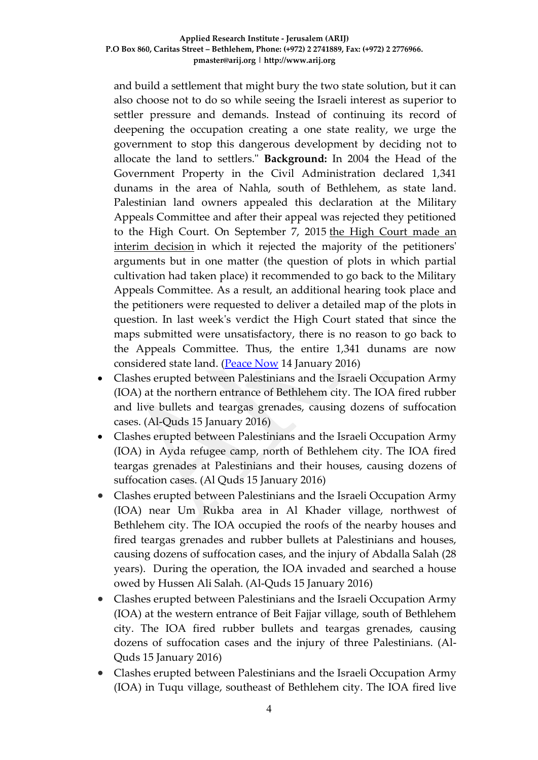and build a settlement that might bury the two state solution, but it can also choose not to do so while seeing the Israeli interest as superior to settler pressure and demands. Instead of continuing its record of deepening the occupation creating a one state reality, we urge the government to stop this dangerous development by deciding not to allocate the land to settlers." **Background:** In 2004 the Head of the Government Property in the Civil Administration declared 1,341 dunams in the area of Nahla, south of Bethlehem, as state land. Palestinian land owners appealed this declaration at the Military Appeals Committee and after their appeal was rejected they petitioned to the High Court. On September 7, 2015 [the High Court made an](http://peacenow.org.il/eng/NahlaRuling070914)  [interim decision](http://peacenow.org.il/eng/NahlaRuling070914) in which it rejected the majority of the petitioners' arguments but in one matter (the question of plots in which partial cultivation had taken place) it recommended to go back to the Military Appeals Committee. As a result, an additional hearing took place and the petitioners were requested to deliver a detailed map of the plots in question. In last week's verdict the High Court stated that since the maps submitted were unsatisfactory, there is no reason to go back to the Appeals Committee. Thus, the entire 1,341 dunams are now considered state land. [\(Peace Now](http://peacenow.org.il/eng/E2_Verdict) 14 January 2016)

- Clashes erupted between Palestinians and the Israeli Occupation Army (IOA) at the northern entrance of Bethlehem city. The IOA fired rubber and live bullets and teargas grenades, causing dozens of suffocation cases. (Al-Quds 15 January 2016)
- Clashes erupted between Palestinians and the Israeli Occupation Army (IOA) in Ayda refugee camp, north of Bethlehem city. The IOA fired teargas grenades at Palestinians and their houses, causing dozens of suffocation cases. (Al Quds 15 January 2016)
- Clashes erupted between Palestinians and the Israeli Occupation Army (IOA) near Um Rukba area in Al Khader village, northwest of Bethlehem city. The IOA occupied the roofs of the nearby houses and fired teargas grenades and rubber bullets at Palestinians and houses, causing dozens of suffocation cases, and the injury of Abdalla Salah (28 years). During the operation, the IOA invaded and searched a house owed by Hussen Ali Salah. (Al-Quds 15 January 2016)
- Clashes erupted between Palestinians and the Israeli Occupation Army (IOA) at the western entrance of Beit Fajjar village, south of Bethlehem city. The IOA fired rubber bullets and teargas grenades, causing dozens of suffocation cases and the injury of three Palestinians. (Al-Quds 15 January 2016)
- Clashes erupted between Palestinians and the Israeli Occupation Army (IOA) in Tuqu village, southeast of Bethlehem city. The IOA fired live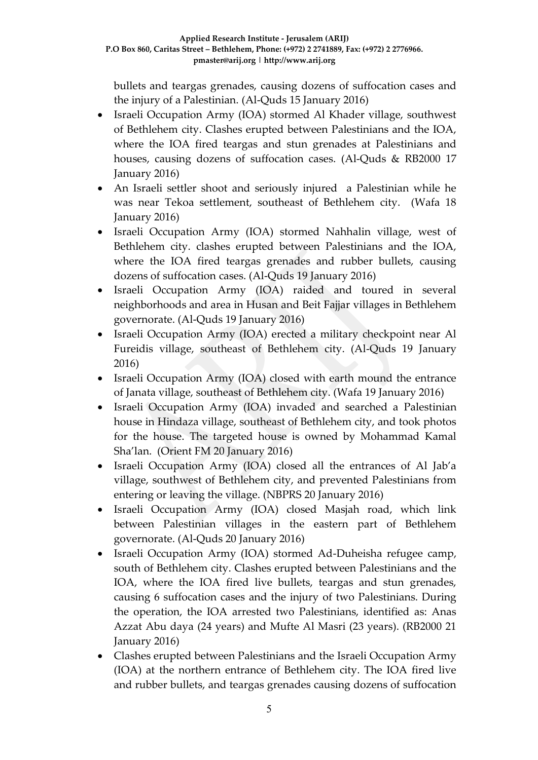bullets and teargas grenades, causing dozens of suffocation cases and the injury of a Palestinian. (Al-Quds 15 January 2016)

- Israeli Occupation Army (IOA) stormed Al Khader village, southwest of Bethlehem city. Clashes erupted between Palestinians and the IOA, where the IOA fired teargas and stun grenades at Palestinians and houses, causing dozens of suffocation cases. (Al-Quds & RB2000 17 January 2016)
- An Israeli settler shoot and seriously injured a Palestinian while he was near Tekoa settlement, southeast of Bethlehem city. (Wafa 18 January 2016)
- Israeli Occupation Army (IOA) stormed Nahhalin village, west of Bethlehem city. clashes erupted between Palestinians and the IOA, where the IOA fired teargas grenades and rubber bullets, causing dozens of suffocation cases. (Al-Quds 19 January 2016)
- Israeli Occupation Army (IOA) raided and toured in several neighborhoods and area in Husan and Beit Fajjar villages in Bethlehem governorate. (Al-Quds 19 January 2016)
- Israeli Occupation Army (IOA) erected a military checkpoint near Al Fureidis village, southeast of Bethlehem city. (Al-Quds 19 January 2016)
- Israeli Occupation Army (IOA) closed with earth mound the entrance of Janata village, southeast of Bethlehem city. (Wafa 19 January 2016)
- Israeli Occupation Army (IOA) invaded and searched a Palestinian house in Hindaza village, southeast of Bethlehem city, and took photos for the house. The targeted house is owned by Mohammad Kamal Sha'lan. (Orient FM 20 January 2016)
- Israeli Occupation Army (IOA) closed all the entrances of Al Jab'a village, southwest of Bethlehem city, and prevented Palestinians from entering or leaving the village. (NBPRS 20 January 2016)
- Israeli Occupation Army (IOA) closed Masjah road, which link between Palestinian villages in the eastern part of Bethlehem governorate. (Al-Quds 20 January 2016)
- Israeli Occupation Army (IOA) stormed Ad-Duheisha refugee camp, south of Bethlehem city. Clashes erupted between Palestinians and the IOA, where the IOA fired live bullets, teargas and stun grenades, causing 6 suffocation cases and the injury of two Palestinians. During the operation, the IOA arrested two Palestinians, identified as: Anas Azzat Abu daya (24 years) and Mufte Al Masri (23 years). (RB2000 21 January 2016)
- Clashes erupted between Palestinians and the Israeli Occupation Army (IOA) at the northern entrance of Bethlehem city. The IOA fired live and rubber bullets, and teargas grenades causing dozens of suffocation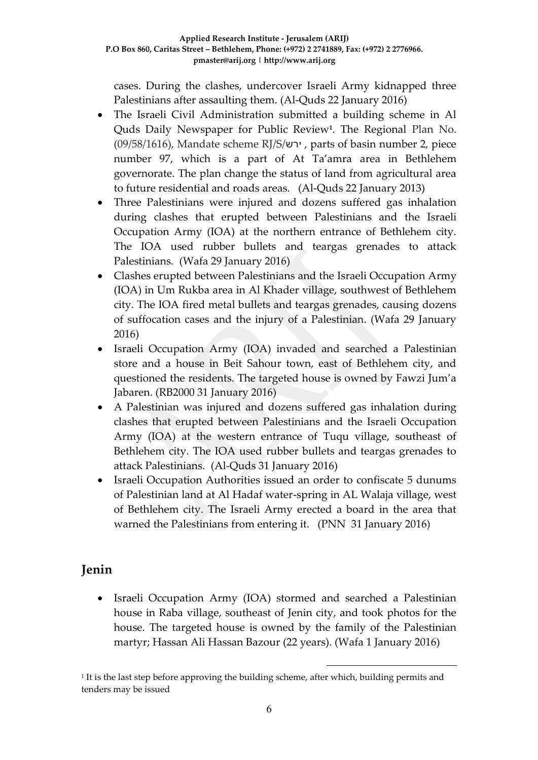cases. During the clashes, undercover Israeli Army kidnapped three Palestinians after assaulting them. (Al-Quds 22 January 2016)

- The Israeli Civil Administration submitted a building scheme in Al Quds Daily Newspaper for Public Review**<sup>1</sup>** . The Regional Plan No. (09/58/1616), Mandate scheme RJ/S/ירש , parts of basin number 2, piece number 97, which is a part of At Ta'amra area in Bethlehem governorate. The plan change the status of land from agricultural area to future residential and roads areas. (Al-Quds 22 January 2013)
- Three Palestinians were injured and dozens suffered gas inhalation during clashes that erupted between Palestinians and the Israeli Occupation Army (IOA) at the northern entrance of Bethlehem city. The IOA used rubber bullets and teargas grenades to attack Palestinians. (Wafa 29 January 2016)
- Clashes erupted between Palestinians and the Israeli Occupation Army (IOA) in Um Rukba area in Al Khader village, southwest of Bethlehem city. The IOA fired metal bullets and teargas grenades, causing dozens of suffocation cases and the injury of a Palestinian. (Wafa 29 January 2016)
- Israeli Occupation Army (IOA) invaded and searched a Palestinian store and a house in Beit Sahour town, east of Bethlehem city, and questioned the residents. The targeted house is owned by Fawzi Jum'a Jabaren. (RB2000 31 January 2016)
- A Palestinian was injured and dozens suffered gas inhalation during clashes that erupted between Palestinians and the Israeli Occupation Army (IOA) at the western entrance of Tuqu village, southeast of Bethlehem city. The IOA used rubber bullets and teargas grenades to attack Palestinians. (Al-Quds 31 January 2016)
- Israeli Occupation Authorities issued an order to confiscate 5 dunums of Palestinian land at Al Hadaf water-spring in AL Walaja village, west of Bethlehem city. The Israeli Army erected a board in the area that warned the Palestinians from entering it. (PNN 31 January 2016)

# **Jenin**

 Israeli Occupation Army (IOA) stormed and searched a Palestinian house in Raba village, southeast of Jenin city, and took photos for the house. The targeted house is owned by the family of the Palestinian martyr; Hassan Ali Hassan Bazour (22 years). (Wafa 1 January 2016)

1

1 It is the last step before approving the building scheme, after which, building permits and tenders may be issued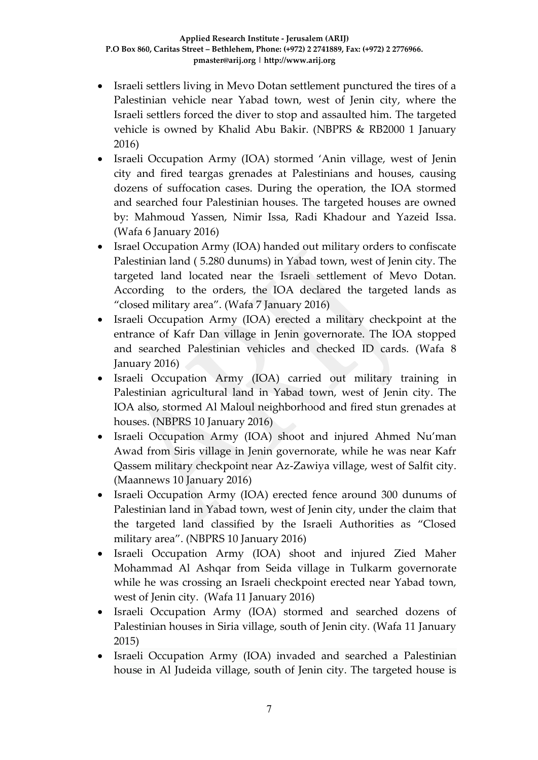- Israeli settlers living in Mevo Dotan settlement punctured the tires of a Palestinian vehicle near Yabad town, west of Jenin city, where the Israeli settlers forced the diver to stop and assaulted him. The targeted vehicle is owned by Khalid Abu Bakir. (NBPRS & RB2000 1 January 2016)
- Israeli Occupation Army (IOA) stormed 'Anin village, west of Jenin city and fired teargas grenades at Palestinians and houses, causing dozens of suffocation cases. During the operation, the IOA stormed and searched four Palestinian houses. The targeted houses are owned by: Mahmoud Yassen, Nimir Issa, Radi Khadour and Yazeid Issa. (Wafa 6 January 2016)
- Israel Occupation Army (IOA) handed out military orders to confiscate Palestinian land ( 5.280 dunums) in Yabad town, west of Jenin city. The targeted land located near the Israeli settlement of Mevo Dotan. According to the orders, the IOA declared the targeted lands as "closed military area". (Wafa 7 January 2016)
- Israeli Occupation Army (IOA) erected a military checkpoint at the entrance of Kafr Dan village in Jenin governorate. The IOA stopped and searched Palestinian vehicles and checked ID cards. (Wafa 8 January 2016)
- Israeli Occupation Army (IOA) carried out military training in Palestinian agricultural land in Yabad town, west of Jenin city. The IOA also, stormed Al Maloul neighborhood and fired stun grenades at houses. (NBPRS 10 January 2016)
- Israeli Occupation Army (IOA) shoot and injured Ahmed Nu'man Awad from Siris village in Jenin governorate, while he was near Kafr Qassem military checkpoint near Az-Zawiya village, west of Salfit city. (Maannews 10 January 2016)
- Israeli Occupation Army (IOA) erected fence around 300 dunums of Palestinian land in Yabad town, west of Jenin city, under the claim that the targeted land classified by the Israeli Authorities as "Closed military area". (NBPRS 10 January 2016)
- Israeli Occupation Army (IOA) shoot and injured Zied Maher Mohammad Al Ashqar from Seida village in Tulkarm governorate while he was crossing an Israeli checkpoint erected near Yabad town, west of Jenin city. (Wafa 11 January 2016)
- Israeli Occupation Army (IOA) stormed and searched dozens of Palestinian houses in Siria village, south of Jenin city. (Wafa 11 January 2015)
- Israeli Occupation Army (IOA) invaded and searched a Palestinian house in Al Judeida village, south of Jenin city. The targeted house is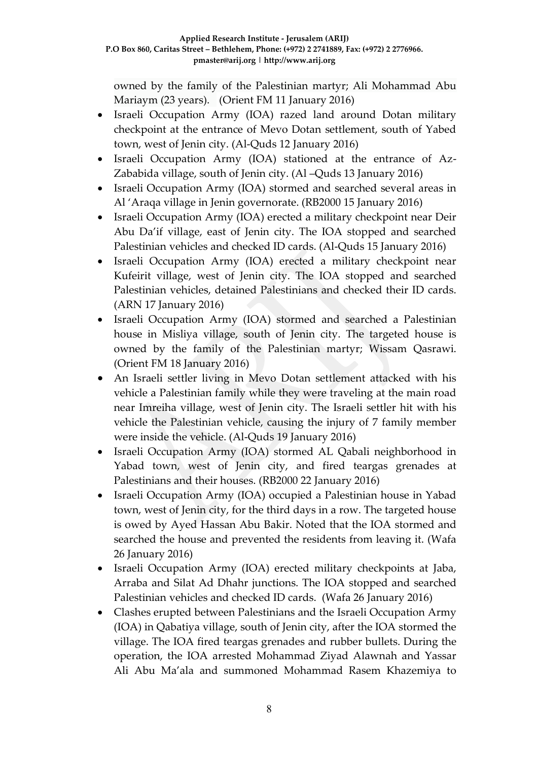owned by the family of the Palestinian martyr; Ali Mohammad Abu Mariaym (23 years). (Orient FM 11 January 2016)

- Israeli Occupation Army (IOA) razed land around Dotan military checkpoint at the entrance of Mevo Dotan settlement, south of Yabed town, west of Jenin city. (Al-Quds 12 January 2016)
- Israeli Occupation Army (IOA) stationed at the entrance of Az-Zababida village, south of Jenin city. (Al –Quds 13 January 2016)
- Israeli Occupation Army (IOA) stormed and searched several areas in Al 'Araqa village in Jenin governorate. (RB2000 15 January 2016)
- Israeli Occupation Army (IOA) erected a military checkpoint near Deir Abu Da'if village, east of Jenin city. The IOA stopped and searched Palestinian vehicles and checked ID cards. (Al-Quds 15 January 2016)
- Israeli Occupation Army (IOA) erected a military checkpoint near Kufeirit village, west of Jenin city. The IOA stopped and searched Palestinian vehicles, detained Palestinians and checked their ID cards. (ARN 17 January 2016)
- Israeli Occupation Army (IOA) stormed and searched a Palestinian house in Misliya village, south of Jenin city. The targeted house is owned by the family of the Palestinian martyr; Wissam Qasrawi. (Orient FM 18 January 2016)
- An Israeli settler living in Mevo Dotan settlement attacked with his vehicle a Palestinian family while they were traveling at the main road near Imreiha village, west of Jenin city. The Israeli settler hit with his vehicle the Palestinian vehicle, causing the injury of 7 family member were inside the vehicle. (Al-Quds 19 January 2016)
- Israeli Occupation Army (IOA) stormed AL Qabali neighborhood in Yabad town, west of Jenin city, and fired teargas grenades at Palestinians and their houses. (RB2000 22 January 2016)
- Israeli Occupation Army (IOA) occupied a Palestinian house in Yabad town, west of Jenin city, for the third days in a row. The targeted house is owed by Ayed Hassan Abu Bakir. Noted that the IOA stormed and searched the house and prevented the residents from leaving it. (Wafa 26 January 2016)
- Israeli Occupation Army (IOA) erected military checkpoints at Jaba, Arraba and Silat Ad Dhahr junctions. The IOA stopped and searched Palestinian vehicles and checked ID cards. (Wafa 26 January 2016)
- Clashes erupted between Palestinians and the Israeli Occupation Army (IOA) in Qabatiya village, south of Jenin city, after the IOA stormed the village. The IOA fired teargas grenades and rubber bullets. During the operation, the IOA arrested Mohammad Ziyad Alawnah and Yassar Ali Abu Ma'ala and summoned Mohammad Rasem Khazemiya to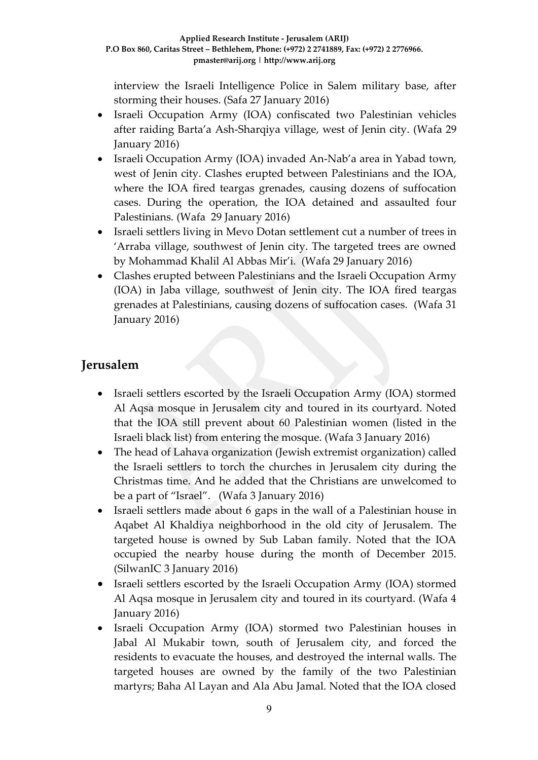interview the Israeli Intelligence Police in Salem military base, after storming their houses. (Safa 27 January 2016)

- Israeli Occupation Army (IOA) confiscated two Palestinian vehicles after raiding Barta'a Ash-Sharqiya village, west of Jenin city. (Wafa 29 January 2016)
- Israeli Occupation Army (IOA) invaded An-Nab'a area in Yabad town, west of Jenin city. Clashes erupted between Palestinians and the IOA, where the IOA fired teargas grenades, causing dozens of suffocation cases. During the operation, the IOA detained and assaulted four Palestinians. (Wafa 29 January 2016)
- Israeli settlers living in Mevo Dotan settlement cut a number of trees in 'Arraba village, southwest of Jenin city. The targeted trees are owned by Mohammad Khalil Al Abbas Mir'i. (Wafa 29 January 2016)
- Clashes erupted between Palestinians and the Israeli Occupation Army (IOA) in Jaba village, southwest of Jenin city. The IOA fired teargas grenades at Palestinians, causing dozens of suffocation cases. (Wafa 31 January 2016)

# **Jerusalem**

- Israeli settlers escorted by the Israeli Occupation Army (IOA) stormed Al Aqsa mosque in Jerusalem city and toured in its courtyard. Noted that the IOA still prevent about 60 Palestinian women (listed in the Israeli black list) from entering the mosque. (Wafa 3 January 2016)
- The head of Lahava organization (Jewish extremist organization) called the Israeli settlers to torch the churches in Jerusalem city during the Christmas time. And he added that the Christians are unwelcomed to be a part of "Israel". (Wafa 3 January 2016)
- Israeli settlers made about 6 gaps in the wall of a Palestinian house in Aqabet Al Khaldiya neighborhood in the old city of Jerusalem. The targeted house is owned by Sub Laban family. Noted that the IOA occupied the nearby house during the month of December 2015. (SilwanIC 3 January 2016)
- Israeli settlers escorted by the Israeli Occupation Army (IOA) stormed Al Aqsa mosque in Jerusalem city and toured in its courtyard. (Wafa 4 January 2016)
- Israeli Occupation Army (IOA) stormed two Palestinian houses in Jabal Al Mukabir town, south of Jerusalem city, and forced the residents to evacuate the houses, and destroyed the internal walls. The targeted houses are owned by the family of the two Palestinian martyrs; Baha Al Layan and Ala Abu Jamal. Noted that the IOA closed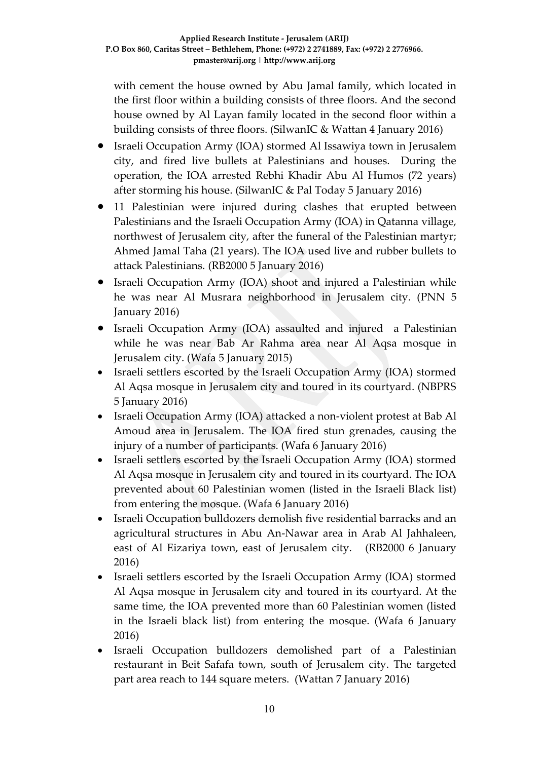with cement the house owned by Abu Jamal family, which located in the first floor within a building consists of three floors. And the second house owned by Al Layan family located in the second floor within a building consists of three floors. (SilwanIC & Wattan 4 January 2016)

- Israeli Occupation Army (IOA) stormed Al Issawiya town in Jerusalem city, and fired live bullets at Palestinians and houses. During the operation, the IOA arrested Rebhi Khadir Abu Al Humos (72 years) after storming his house. (SilwanIC & Pal Today 5 January 2016)
- 11 Palestinian were injured during clashes that erupted between Palestinians and the Israeli Occupation Army (IOA) in Qatanna village, northwest of Jerusalem city, after the funeral of the Palestinian martyr; Ahmed Jamal Taha (21 years). The IOA used live and rubber bullets to attack Palestinians. (RB2000 5 January 2016)
- Israeli Occupation Army (IOA) shoot and injured a Palestinian while he was near Al Musrara neighborhood in Jerusalem city. (PNN 5 January 2016)
- Israeli Occupation Army (IOA) assaulted and injured a Palestinian while he was near Bab Ar Rahma area near Al Aqsa mosque in Jerusalem city. (Wafa 5 January 2015)
- Israeli settlers escorted by the Israeli Occupation Army (IOA) stormed Al Aqsa mosque in Jerusalem city and toured in its courtyard. (NBPRS 5 January 2016)
- Israeli Occupation Army (IOA) attacked a non-violent protest at Bab Al Amoud area in Jerusalem. The IOA fired stun grenades, causing the injury of a number of participants. (Wafa 6 January 2016)
- Israeli settlers escorted by the Israeli Occupation Army (IOA) stormed Al Aqsa mosque in Jerusalem city and toured in its courtyard. The IOA prevented about 60 Palestinian women (listed in the Israeli Black list) from entering the mosque. (Wafa 6 January 2016)
- Israeli Occupation bulldozers demolish five residential barracks and an agricultural structures in Abu An-Nawar area in Arab Al Jahhaleen, east of Al Eizariya town, east of Jerusalem city. (RB2000 6 January 2016)
- Israeli settlers escorted by the Israeli Occupation Army (IOA) stormed Al Aqsa mosque in Jerusalem city and toured in its courtyard. At the same time, the IOA prevented more than 60 Palestinian women (listed in the Israeli black list) from entering the mosque. (Wafa 6 January 2016)
- Israeli Occupation bulldozers demolished part of a Palestinian restaurant in Beit Safafa town, south of Jerusalem city. The targeted part area reach to 144 square meters. (Wattan 7 January 2016)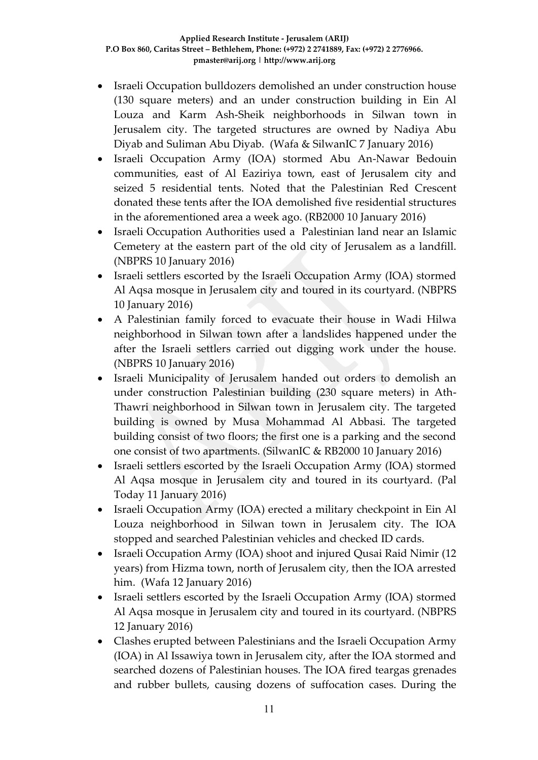- Israeli Occupation bulldozers demolished an under construction house (130 square meters) and an under construction building in Ein Al Louza and Karm Ash-Sheik neighborhoods in Silwan town in Jerusalem city. The targeted structures are owned by Nadiya Abu Diyab and Suliman Abu Diyab. (Wafa & SilwanIC 7 January 2016)
- Israeli Occupation Army (IOA) stormed Abu An-Nawar Bedouin communities, east of Al Eaziriya town, east of Jerusalem city and seized 5 residential tents. Noted that the Palestinian Red Crescent donated these tents after the IOA demolished five residential structures in the aforementioned area a week ago. (RB2000 10 January 2016)
- Israeli Occupation Authorities used a Palestinian land near an Islamic Cemetery at the eastern part of the old city of Jerusalem as a landfill. (NBPRS 10 January 2016)
- Israeli settlers escorted by the Israeli Occupation Army (IOA) stormed Al Aqsa mosque in Jerusalem city and toured in its courtyard. (NBPRS 10 January 2016)
- A Palestinian family forced to evacuate their house in Wadi Hilwa neighborhood in Silwan town after a landslides happened under the after the Israeli settlers carried out digging work under the house. (NBPRS 10 January 2016)
- Israeli Municipality of Jerusalem handed out orders to demolish an under construction Palestinian building (230 square meters) in Ath-Thawri neighborhood in Silwan town in Jerusalem city. The targeted building is owned by Musa Mohammad Al Abbasi. The targeted building consist of two floors; the first one is a parking and the second one consist of two apartments. (SilwanIC & RB2000 10 January 2016)
- Israeli settlers escorted by the Israeli Occupation Army (IOA) stormed Al Aqsa mosque in Jerusalem city and toured in its courtyard. (Pal Today 11 January 2016)
- Israeli Occupation Army (IOA) erected a military checkpoint in Ein Al Louza neighborhood in Silwan town in Jerusalem city. The IOA stopped and searched Palestinian vehicles and checked ID cards.
- Israeli Occupation Army (IOA) shoot and injured Qusai Raid Nimir (12 years) from Hizma town, north of Jerusalem city, then the IOA arrested him. (Wafa 12 January 2016)
- Israeli settlers escorted by the Israeli Occupation Army (IOA) stormed Al Aqsa mosque in Jerusalem city and toured in its courtyard. (NBPRS 12 January 2016)
- Clashes erupted between Palestinians and the Israeli Occupation Army (IOA) in Al Issawiya town in Jerusalem city, after the IOA stormed and searched dozens of Palestinian houses. The IOA fired teargas grenades and rubber bullets, causing dozens of suffocation cases. During the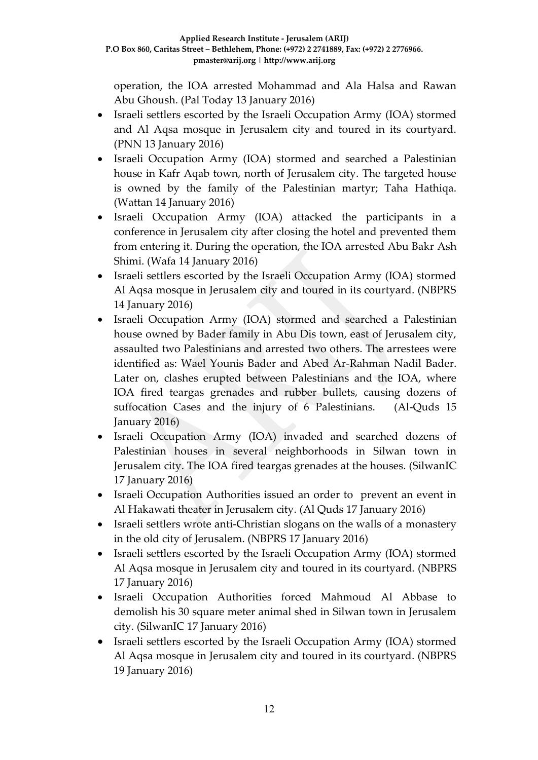operation, the IOA arrested Mohammad and Ala Halsa and Rawan Abu Ghoush. (Pal Today 13 January 2016)

- Israeli settlers escorted by the Israeli Occupation Army (IOA) stormed and Al Aqsa mosque in Jerusalem city and toured in its courtyard. (PNN 13 January 2016)
- Israeli Occupation Army (IOA) stormed and searched a Palestinian house in Kafr Aqab town, north of Jerusalem city. The targeted house is owned by the family of the Palestinian martyr; Taha Hathiqa. (Wattan 14 January 2016)
- Israeli Occupation Army (IOA) attacked the participants in a conference in Jerusalem city after closing the hotel and prevented them from entering it. During the operation, the IOA arrested Abu Bakr Ash Shimi. (Wafa 14 January 2016)
- Israeli settlers escorted by the Israeli Occupation Army (IOA) stormed Al Aqsa mosque in Jerusalem city and toured in its courtyard. (NBPRS 14 January 2016)
- Israeli Occupation Army (IOA) stormed and searched a Palestinian house owned by Bader family in Abu Dis town, east of Jerusalem city, assaulted two Palestinians and arrested two others. The arrestees were identified as: Wael Younis Bader and Abed Ar-Rahman Nadil Bader. Later on, clashes erupted between Palestinians and the IOA, where IOA fired teargas grenades and rubber bullets, causing dozens of suffocation Cases and the injury of 6 Palestinians. (Al-Quds 15 January 2016)
- Israeli Occupation Army (IOA) invaded and searched dozens of Palestinian houses in several neighborhoods in Silwan town in Jerusalem city. The IOA fired teargas grenades at the houses. (SilwanIC 17 January 2016)
- Israeli Occupation Authorities issued an order to prevent an event in Al Hakawati theater in Jerusalem city. (Al Quds 17 January 2016)
- Israeli settlers wrote anti-Christian slogans on the walls of a monastery in the old city of Jerusalem. (NBPRS 17 January 2016)
- Israeli settlers escorted by the Israeli Occupation Army (IOA) stormed Al Aqsa mosque in Jerusalem city and toured in its courtyard. (NBPRS 17 January 2016)
- Israeli Occupation Authorities forced Mahmoud Al Abbase to demolish his 30 square meter animal shed in Silwan town in Jerusalem city. (SilwanIC 17 January 2016)
- Israeli settlers escorted by the Israeli Occupation Army (IOA) stormed Al Aqsa mosque in Jerusalem city and toured in its courtyard. (NBPRS 19 January 2016)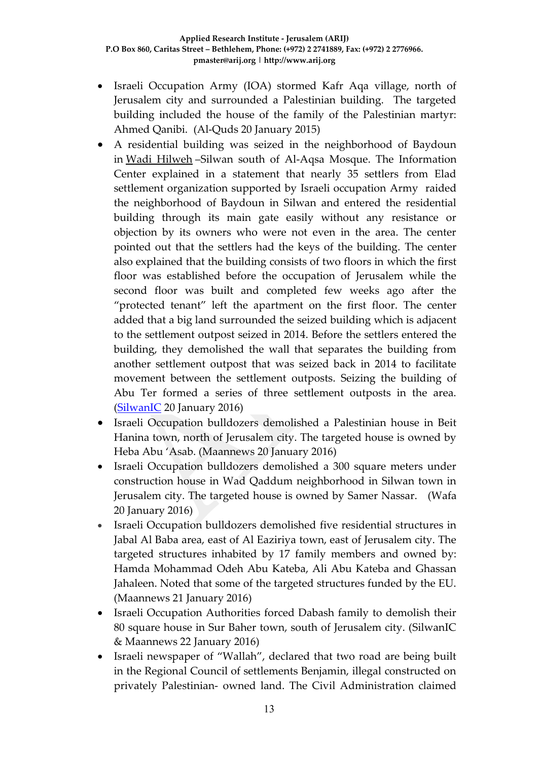- Israeli Occupation Army (IOA) stormed Kafr Aqa village, north of Jerusalem city and surrounded a Palestinian building. The targeted building included the house of the family of the Palestinian martyr: Ahmed Qanibi. (Al-Quds 20 January 2015)
- A residential building was seized in the neighborhood of Baydoun in [Wadi Hilweh](http://silwanic.net/?tag=wadi-hilweh) –Silwan south of Al-Aqsa Mosque. The Information Center explained in a statement that nearly 35 settlers from Elad settlement organization supported by Israeli occupation Army raided the neighborhood of Baydoun in Silwan and entered the residential building through its main gate easily without any resistance or objection by its owners who were not even in the area. The center pointed out that the settlers had the keys of the building. The center also explained that the building consists of two floors in which the first floor was established before the occupation of Jerusalem while the second floor was built and completed few weeks ago after the "protected tenant" left the apartment on the first floor. The center added that a big land surrounded the seized building which is adjacent to the settlement outpost seized in 2014. Before the settlers entered the building, they demolished the wall that separates the building from another settlement outpost that was seized back in 2014 to facilitate movement between the settlement outposts. Seizing the building of Abu Ter formed a series of three settlement outposts in the area. [\(SilwanIC](http://silwanic.net/?p=66764) 20 January 2016)
- Israeli Occupation bulldozers demolished a Palestinian house in Beit Hanina town, north of Jerusalem city. The targeted house is owned by Heba Abu 'Asab. (Maannews 20 January 2016)
- Israeli Occupation bulldozers demolished a 300 square meters under construction house in Wad Qaddum neighborhood in Silwan town in Jerusalem city. The targeted house is owned by Samer Nassar. (Wafa 20 January 2016)
- Israeli Occupation bulldozers demolished five residential structures in Jabal Al Baba area, east of Al Eaziriya town, east of Jerusalem city. The targeted structures inhabited by 17 family members and owned by: Hamda Mohammad Odeh Abu Kateba, Ali Abu Kateba and Ghassan Jahaleen. Noted that some of the targeted structures funded by the EU. (Maannews 21 January 2016)
- Israeli Occupation Authorities forced Dabash family to demolish their 80 square house in Sur Baher town, south of Jerusalem city. (SilwanIC & Maannews 22 January 2016)
- Israeli newspaper of "Wallah", declared that two road are being built in the Regional Council of settlements Benjamin, illegal constructed on privately Palestinian- owned land. The Civil Administration claimed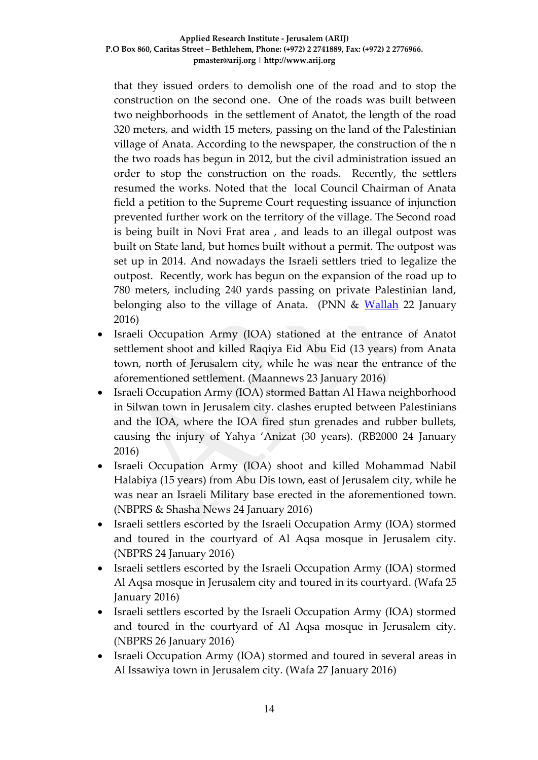that they issued orders to demolish one of the road and to stop the construction on the second one. One of the roads was built between two neighborhoods in the settlement of Anatot, the length of the road 320 meters, and width 15 meters, passing on the land of the Palestinian village of Anata. According to the newspaper, the construction of the n the two roads has begun in 2012, but the civil administration issued an order to stop the construction on the roads. Recently, the settlers resumed the works. Noted that the local Council Chairman of Anata field a petition to the Supreme Court requesting issuance of injunction prevented further work on the territory of the village. The Second road is being built in Novi Frat area , and leads to an illegal outpost was built on State land, but homes built without a permit. The outpost was set up in 2014. And nowadays the Israeli settlers tried to legalize the outpost. Recently, work has begun on the expansion of the road up to 780 meters, including 240 yards passing on private Palestinian land, belonging also to the village of Anata. (PNN & [Wallah](http://news.walla.co.il/item/2926174) 22 January 2016)

- Israeli Occupation Army (IOA) stationed at the entrance of Anatot settlement shoot and killed Raqiya Eid Abu Eid (13 years) from Anata town, north of Jerusalem city, while he was near the entrance of the aforementioned settlement. (Maannews 23 January 2016)
- Israeli Occupation Army (IOA) stormed Battan Al Hawa neighborhood in Silwan town in Jerusalem city. clashes erupted between Palestinians and the IOA, where the IOA fired stun grenades and rubber bullets, causing the injury of Yahya 'Anizat (30 years). (RB2000 24 January 2016)
- Israeli Occupation Army (IOA) shoot and killed Mohammad Nabil Halabiya (15 years) from Abu Dis town, east of Jerusalem city, while he was near an Israeli Military base erected in the aforementioned town. (NBPRS & Shasha News 24 January 2016)
- Israeli settlers escorted by the Israeli Occupation Army (IOA) stormed and toured in the courtyard of Al Aqsa mosque in Jerusalem city. (NBPRS 24 January 2016)
- Israeli settlers escorted by the Israeli Occupation Army (IOA) stormed Al Aqsa mosque in Jerusalem city and toured in its courtyard. (Wafa 25 January 2016)
- Israeli settlers escorted by the Israeli Occupation Army (IOA) stormed and toured in the courtyard of Al Aqsa mosque in Jerusalem city. (NBPRS 26 January 2016)
- Israeli Occupation Army (IOA) stormed and toured in several areas in Al Issawiya town in Jerusalem city. (Wafa 27 January 2016)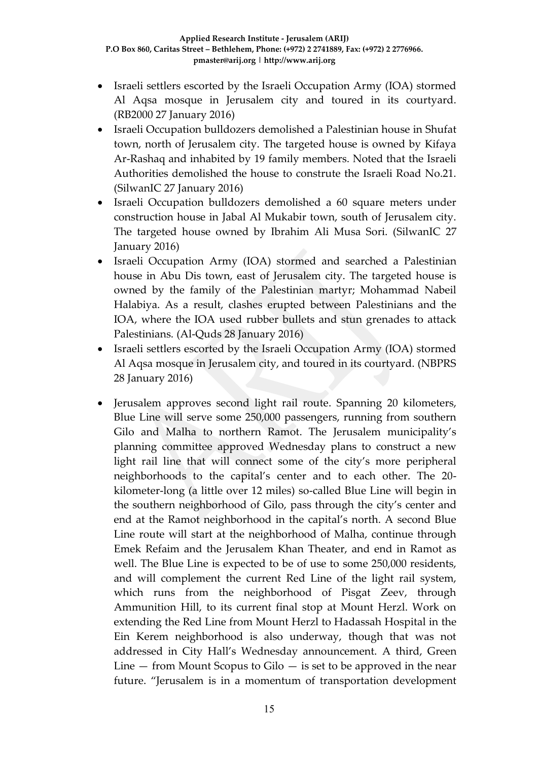- Israeli settlers escorted by the Israeli Occupation Army (IOA) stormed Al Aqsa mosque in Jerusalem city and toured in its courtyard. (RB2000 27 January 2016)
- Israeli Occupation bulldozers demolished a Palestinian house in Shufat town, north of Jerusalem city. The targeted house is owned by Kifaya Ar-Rashaq and inhabited by 19 family members. Noted that the Israeli Authorities demolished the house to construte the Israeli Road No.21. (SilwanIC 27 January 2016)
- Israeli Occupation bulldozers demolished a 60 square meters under construction house in Jabal Al Mukabir town, south of Jerusalem city. The targeted house owned by Ibrahim Ali Musa Sori. (SilwanIC 27 January 2016)
- Israeli Occupation Army (IOA) stormed and searched a Palestinian house in Abu Dis town, east of Jerusalem city. The targeted house is owned by the family of the Palestinian martyr; Mohammad Nabeil Halabiya. As a result, clashes erupted between Palestinians and the IOA, where the IOA used rubber bullets and stun grenades to attack Palestinians. (Al-Quds 28 January 2016)
- Israeli settlers escorted by the Israeli Occupation Army (IOA) stormed Al Aqsa mosque in Jerusalem city, and toured in its courtyard. (NBPRS 28 January 2016)
- Jerusalem approves second light rail route. Spanning 20 kilometers, Blue Line will serve some 250,000 passengers, running from southern Gilo and Malha to northern Ramot. The Jerusalem municipality's planning committee approved Wednesday plans to construct a new light rail line that will connect some of the city's more peripheral neighborhoods to the capital's center and to each other. The 20 kilometer-long (a little over 12 miles) so-called Blue Line will begin in the southern neighborhood of Gilo, pass through the city's center and end at the Ramot neighborhood in the capital's north. A second Blue Line route will start at the neighborhood of Malha, continue through Emek Refaim and the Jerusalem Khan Theater, and end in Ramot as well. The Blue Line is expected to be of use to some 250,000 residents, and will complement the current Red Line of the light rail system, which runs from the neighborhood of Pisgat Zeev, through Ammunition Hill, to its current final stop at Mount Herzl. Work on extending the Red Line from Mount Herzl to Hadassah Hospital in the Ein Kerem neighborhood is also underway, though that was not addressed in City Hall's Wednesday announcement. A third, Green Line  $-$  from Mount Scopus to Gilo  $-$  is set to be approved in the near future. "Jerusalem is in a momentum of transportation development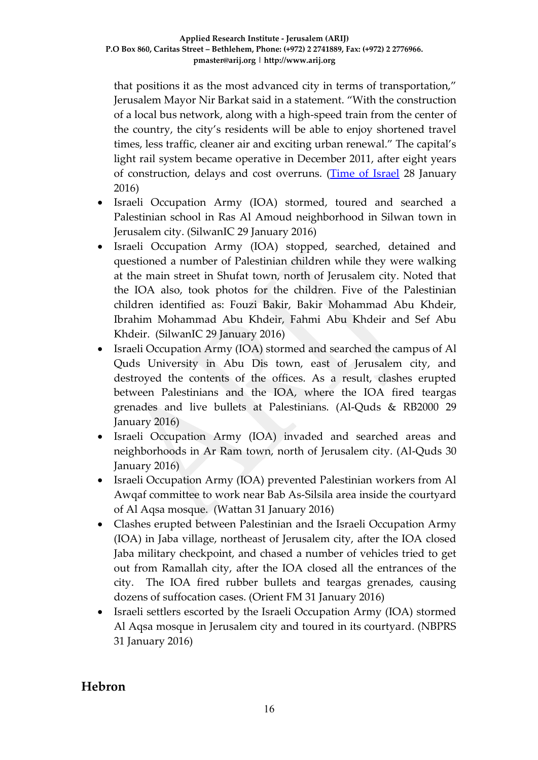that positions it as the most advanced city in terms of transportation," Jerusalem Mayor Nir Barkat said in a statement. "With the construction of a local bus network, along with a high-speed train from the center of the country, the city's residents will be able to enjoy shortened travel times, less traffic, cleaner air and exciting urban renewal." The capital's light rail system became operative in December 2011, after eight years of construction, delays and cost overruns. [\(Time of Israel](http://www.timesofisrael.com/jerusalem-approves-new-light-rail-route/) 28 January 2016)

- Israeli Occupation Army (IOA) stormed, toured and searched a Palestinian school in Ras Al Amoud neighborhood in Silwan town in Jerusalem city. (SilwanIC 29 January 2016)
- Israeli Occupation Army (IOA) stopped, searched, detained and questioned a number of Palestinian children while they were walking at the main street in Shufat town, north of Jerusalem city. Noted that the IOA also, took photos for the children. Five of the Palestinian children identified as: Fouzi Bakir, Bakir Mohammad Abu Khdeir, Ibrahim Mohammad Abu Khdeir, Fahmi Abu Khdeir and Sef Abu Khdeir. (SilwanIC 29 January 2016)
- Israeli Occupation Army (IOA) stormed and searched the campus of Al Quds University in Abu Dis town, east of Jerusalem city, and destroyed the contents of the offices. As a result, clashes erupted between Palestinians and the IOA, where the IOA fired teargas grenades and live bullets at Palestinians. (Al-Quds & RB2000 29 January 2016)
- Israeli Occupation Army (IOA) invaded and searched areas and neighborhoods in Ar Ram town, north of Jerusalem city. (Al-Quds 30 January 2016)
- Israeli Occupation Army (IOA) prevented Palestinian workers from Al Awqaf committee to work near Bab As-Silsila area inside the courtyard of Al Aqsa mosque. (Wattan 31 January 2016)
- Clashes erupted between Palestinian and the Israeli Occupation Army (IOA) in Jaba village, northeast of Jerusalem city, after the IOA closed Jaba military checkpoint, and chased a number of vehicles tried to get out from Ramallah city, after the IOA closed all the entrances of the city. The IOA fired rubber bullets and teargas grenades, causing dozens of suffocation cases. (Orient FM 31 January 2016)
- Israeli settlers escorted by the Israeli Occupation Army (IOA) stormed Al Aqsa mosque in Jerusalem city and toured in its courtyard. (NBPRS 31 January 2016)

### **Hebron**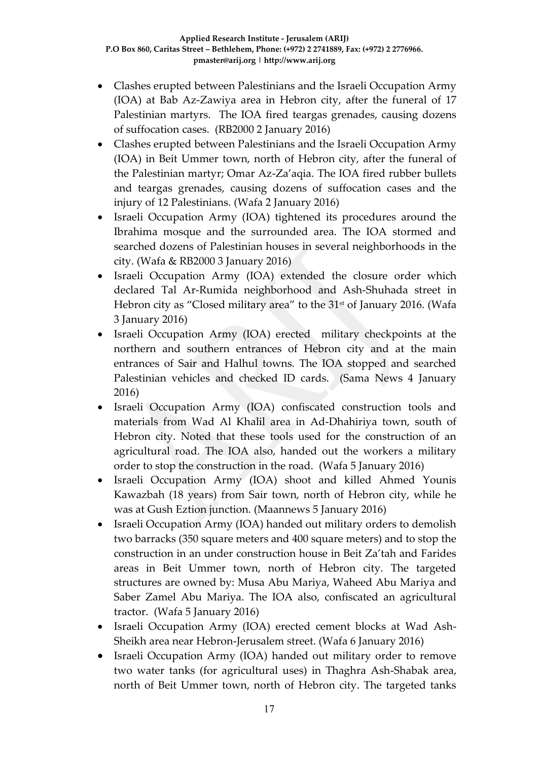- Clashes erupted between Palestinians and the Israeli Occupation Army (IOA) at Bab Az-Zawiya area in Hebron city, after the funeral of 17 Palestinian martyrs. The IOA fired teargas grenades, causing dozens of suffocation cases. (RB2000 2 January 2016)
- Clashes erupted between Palestinians and the Israeli Occupation Army (IOA) in Beit Ummer town, north of Hebron city, after the funeral of the Palestinian martyr; Omar Az-Za'aqia. The IOA fired rubber bullets and teargas grenades, causing dozens of suffocation cases and the injury of 12 Palestinians. (Wafa 2 January 2016)
- Israeli Occupation Army (IOA) tightened its procedures around the Ibrahima mosque and the surrounded area. The IOA stormed and searched dozens of Palestinian houses in several neighborhoods in the city. (Wafa & RB2000 3 January 2016)
- Israeli Occupation Army (IOA) extended the closure order which declared Tal Ar-Rumida neighborhood and Ash-Shuhada street in Hebron city as "Closed military area" to the 31<sup>st</sup> of January 2016. (Wafa 3 January 2016)
- Israeli Occupation Army (IOA) erected military checkpoints at the northern and southern entrances of Hebron city and at the main entrances of Sair and Halhul towns. The IOA stopped and searched Palestinian vehicles and checked ID cards. (Sama News 4 January 2016)
- Israeli Occupation Army (IOA) confiscated construction tools and materials from Wad Al Khalil area in Ad-Dhahiriya town, south of Hebron city. Noted that these tools used for the construction of an agricultural road. The IOA also, handed out the workers a military order to stop the construction in the road. (Wafa 5 January 2016)
- Israeli Occupation Army (IOA) shoot and killed Ahmed Younis Kawazbah (18 years) from Sair town, north of Hebron city, while he was at Gush Eztion junction. (Maannews 5 January 2016)
- Israeli Occupation Army (IOA) handed out military orders to demolish two barracks (350 square meters and 400 square meters) and to stop the construction in an under construction house in Beit Za'tah and Farides areas in Beit Ummer town, north of Hebron city. The targeted structures are owned by: Musa Abu Mariya, Waheed Abu Mariya and Saber Zamel Abu Mariya. The IOA also, confiscated an agricultural tractor. (Wafa 5 January 2016)
- Israeli Occupation Army (IOA) erected cement blocks at Wad Ash-Sheikh area near Hebron-Jerusalem street. (Wafa 6 January 2016)
- Israeli Occupation Army (IOA) handed out military order to remove two water tanks (for agricultural uses) in Thaghra Ash-Shabak area, north of Beit Ummer town, north of Hebron city. The targeted tanks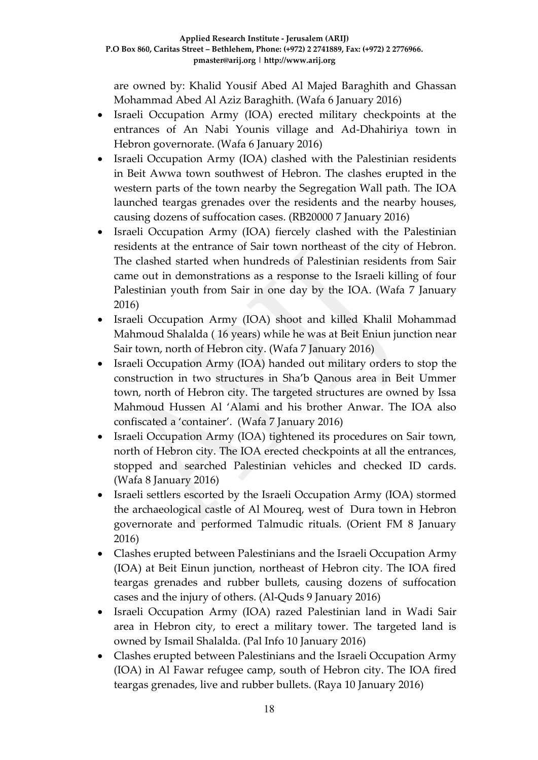are owned by: Khalid Yousif Abed Al Majed Baraghith and Ghassan Mohammad Abed Al Aziz Baraghith. (Wafa 6 January 2016)

- Israeli Occupation Army (IOA) erected military checkpoints at the entrances of An Nabi Younis village and Ad-Dhahiriya town in Hebron governorate. (Wafa 6 January 2016)
- Israeli Occupation Army (IOA) clashed with the Palestinian residents in Beit Awwa town southwest of Hebron. The clashes erupted in the western parts of the town nearby the Segregation Wall path. The IOA launched teargas grenades over the residents and the nearby houses, causing dozens of suffocation cases. (RB20000 7 January 2016)
- Israeli Occupation Army (IOA) fiercely clashed with the Palestinian residents at the entrance of Sair town northeast of the city of Hebron. The clashed started when hundreds of Palestinian residents from Sair came out in demonstrations as a response to the Israeli killing of four Palestinian youth from Sair in one day by the IOA. (Wafa 7 January 2016)
- Israeli Occupation Army (IOA) shoot and killed Khalil Mohammad Mahmoud Shalalda ( 16 years) while he was at Beit Eniun junction near Sair town, north of Hebron city. (Wafa 7 January 2016)
- Israeli Occupation Army (IOA) handed out military orders to stop the construction in two structures in Sha'b Qanous area in Beit Ummer town, north of Hebron city. The targeted structures are owned by Issa Mahmoud Hussen Al 'Alami and his brother Anwar. The IOA also confiscated a 'container'. (Wafa 7 January 2016)
- Israeli Occupation Army (IOA) tightened its procedures on Sair town, north of Hebron city. The IOA erected checkpoints at all the entrances, stopped and searched Palestinian vehicles and checked ID cards. (Wafa 8 January 2016)
- Israeli settlers escorted by the Israeli Occupation Army (IOA) stormed the archaeological castle of Al Moureq, west of Dura town in Hebron governorate and performed Talmudic rituals. (Orient FM 8 January 2016)
- Clashes erupted between Palestinians and the Israeli Occupation Army (IOA) at Beit Einun junction, northeast of Hebron city. The IOA fired teargas grenades and rubber bullets, causing dozens of suffocation cases and the injury of others. (Al-Quds 9 January 2016)
- Israeli Occupation Army (IOA) razed Palestinian land in Wadi Sair area in Hebron city, to erect a military tower. The targeted land is owned by Ismail Shalalda. (Pal Info 10 January 2016)
- Clashes erupted between Palestinians and the Israeli Occupation Army (IOA) in Al Fawar refugee camp, south of Hebron city. The IOA fired teargas grenades, live and rubber bullets. (Raya 10 January 2016)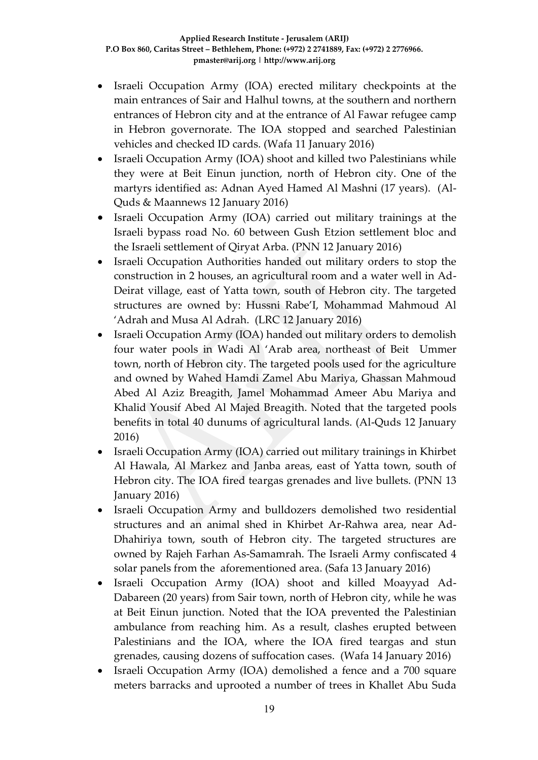- Israeli Occupation Army (IOA) erected military checkpoints at the main entrances of Sair and Halhul towns, at the southern and northern entrances of Hebron city and at the entrance of Al Fawar refugee camp in Hebron governorate. The IOA stopped and searched Palestinian vehicles and checked ID cards. (Wafa 11 January 2016)
- Israeli Occupation Army (IOA) shoot and killed two Palestinians while they were at Beit Einun junction, north of Hebron city. One of the martyrs identified as: Adnan Ayed Hamed Al Mashni (17 years). (Al-Quds & Maannews 12 January 2016)
- Israeli Occupation Army (IOA) carried out military trainings at the Israeli bypass road No. 60 between Gush Etzion settlement bloc and the Israeli settlement of Qiryat Arba. (PNN 12 January 2016)
- Israeli Occupation Authorities handed out military orders to stop the construction in 2 houses, an agricultural room and a water well in Ad-Deirat village, east of Yatta town, south of Hebron city. The targeted structures are owned by: Hussni Rabe'I, Mohammad Mahmoud Al 'Adrah and Musa Al Adrah. (LRC 12 January 2016)
- Israeli Occupation Army (IOA) handed out military orders to demolish four water pools in Wadi Al 'Arab area, northeast of Beit Ummer town, north of Hebron city. The targeted pools used for the agriculture and owned by Wahed Hamdi Zamel Abu Mariya, Ghassan Mahmoud Abed Al Aziz Breagith, Jamel Mohammad Ameer Abu Mariya and Khalid Yousif Abed Al Majed Breagith. Noted that the targeted pools benefits in total 40 dunums of agricultural lands. (Al-Quds 12 January 2016)
- Israeli Occupation Army (IOA) carried out military trainings in Khirbet Al Hawala, Al Markez and Janba areas, east of Yatta town, south of Hebron city. The IOA fired teargas grenades and live bullets. (PNN 13 January 2016)
- Israeli Occupation Army and bulldozers demolished two residential structures and an animal shed in Khirbet Ar-Rahwa area, near Ad-Dhahiriya town, south of Hebron city. The targeted structures are owned by Rajeh Farhan As-Samamrah. The Israeli Army confiscated 4 solar panels from the aforementioned area. (Safa 13 January 2016)
- Israeli Occupation Army (IOA) shoot and killed Moayyad Ad-Dabareen (20 years) from Sair town, north of Hebron city, while he was at Beit Einun junction. Noted that the IOA prevented the Palestinian ambulance from reaching him. As a result, clashes erupted between Palestinians and the IOA, where the IOA fired teargas and stun grenades, causing dozens of suffocation cases. (Wafa 14 January 2016)
- Israeli Occupation Army (IOA) demolished a fence and a 700 square meters barracks and uprooted a number of trees in Khallet Abu Suda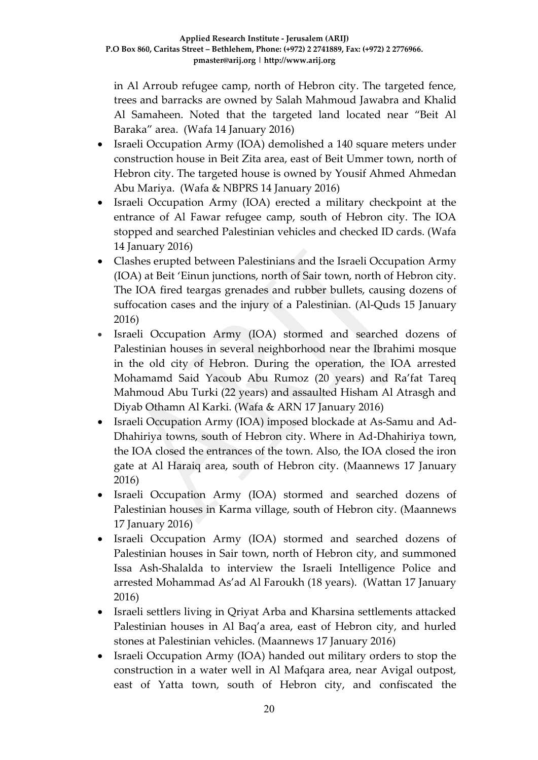in Al Arroub refugee camp, north of Hebron city. The targeted fence, trees and barracks are owned by Salah Mahmoud Jawabra and Khalid Al Samaheen. Noted that the targeted land located near "Beit Al Baraka" area. (Wafa 14 January 2016)

- Israeli Occupation Army (IOA) demolished a 140 square meters under construction house in Beit Zita area, east of Beit Ummer town, north of Hebron city. The targeted house is owned by Yousif Ahmed Ahmedan Abu Mariya. (Wafa & NBPRS 14 January 2016)
- Israeli Occupation Army (IOA) erected a military checkpoint at the entrance of Al Fawar refugee camp, south of Hebron city. The IOA stopped and searched Palestinian vehicles and checked ID cards. (Wafa 14 January 2016)
- Clashes erupted between Palestinians and the Israeli Occupation Army (IOA) at Beit 'Einun junctions, north of Sair town, north of Hebron city. The IOA fired teargas grenades and rubber bullets, causing dozens of suffocation cases and the injury of a Palestinian. (Al-Quds 15 January 2016)
- Israeli Occupation Army (IOA) stormed and searched dozens of Palestinian houses in several neighborhood near the Ibrahimi mosque in the old city of Hebron. During the operation, the IOA arrested Mohamamd Said Yacoub Abu Rumoz (20 years) and Ra'fat Tareq Mahmoud Abu Turki (22 years) and assaulted Hisham Al Atrasgh and Diyab Othamn Al Karki. (Wafa & ARN 17 January 2016)
- Israeli Occupation Army (IOA) imposed blockade at As-Samu and Ad-Dhahiriya towns, south of Hebron city. Where in Ad-Dhahiriya town, the IOA closed the entrances of the town. Also, the IOA closed the iron gate at Al Haraiq area, south of Hebron city. (Maannews 17 January 2016)
- Israeli Occupation Army (IOA) stormed and searched dozens of Palestinian houses in Karma village, south of Hebron city. (Maannews 17 January 2016)
- Israeli Occupation Army (IOA) stormed and searched dozens of Palestinian houses in Sair town, north of Hebron city, and summoned Issa Ash-Shalalda to interview the Israeli Intelligence Police and arrested Mohammad As'ad Al Faroukh (18 years). (Wattan 17 January 2016)
- Israeli settlers living in Qriyat Arba and Kharsina settlements attacked Palestinian houses in Al Baq'a area, east of Hebron city, and hurled stones at Palestinian vehicles. (Maannews 17 January 2016)
- Israeli Occupation Army (IOA) handed out military orders to stop the construction in a water well in Al Mafqara area, near Avigal outpost, east of Yatta town, south of Hebron city, and confiscated the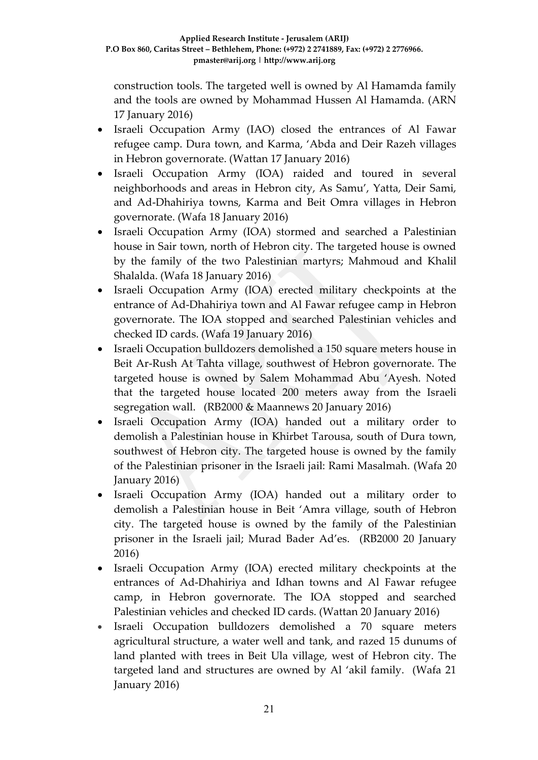construction tools. The targeted well is owned by Al Hamamda family and the tools are owned by Mohammad Hussen Al Hamamda. (ARN 17 January 2016)

- Israeli Occupation Army (IAO) closed the entrances of Al Fawar refugee camp. Dura town, and Karma, 'Abda and Deir Razeh villages in Hebron governorate. (Wattan 17 January 2016)
- Israeli Occupation Army (IOA) raided and toured in several neighborhoods and areas in Hebron city, As Samu', Yatta, Deir Sami, and Ad-Dhahiriya towns, Karma and Beit Omra villages in Hebron governorate. (Wafa 18 January 2016)
- Israeli Occupation Army (IOA) stormed and searched a Palestinian house in Sair town, north of Hebron city. The targeted house is owned by the family of the two Palestinian martyrs; Mahmoud and Khalil Shalalda. (Wafa 18 January 2016)
- Israeli Occupation Army (IOA) erected military checkpoints at the entrance of Ad-Dhahiriya town and Al Fawar refugee camp in Hebron governorate. The IOA stopped and searched Palestinian vehicles and checked ID cards. (Wafa 19 January 2016)
- Israeli Occupation bulldozers demolished a 150 square meters house in Beit Ar-Rush At Tahta village, southwest of Hebron governorate. The targeted house is owned by Salem Mohammad Abu 'Ayesh. Noted that the targeted house located 200 meters away from the Israeli segregation wall. (RB2000 & Maannews 20 January 2016)
- Israeli Occupation Army (IOA) handed out a military order to demolish a Palestinian house in Khirbet Tarousa, south of Dura town, southwest of Hebron city. The targeted house is owned by the family of the Palestinian prisoner in the Israeli jail: Rami Masalmah. (Wafa 20 January 2016)
- Israeli Occupation Army (IOA) handed out a military order to demolish a Palestinian house in Beit 'Amra village, south of Hebron city. The targeted house is owned by the family of the Palestinian prisoner in the Israeli jail; Murad Bader Ad'es. (RB2000 20 January 2016)
- Israeli Occupation Army (IOA) erected military checkpoints at the entrances of Ad-Dhahiriya and Idhan towns and Al Fawar refugee camp, in Hebron governorate. The IOA stopped and searched Palestinian vehicles and checked ID cards. (Wattan 20 January 2016)
- Israeli Occupation bulldozers demolished a 70 square meters agricultural structure, a water well and tank, and razed 15 dunums of land planted with trees in Beit Ula village, west of Hebron city. The targeted land and structures are owned by Al 'akil family. (Wafa 21 January 2016)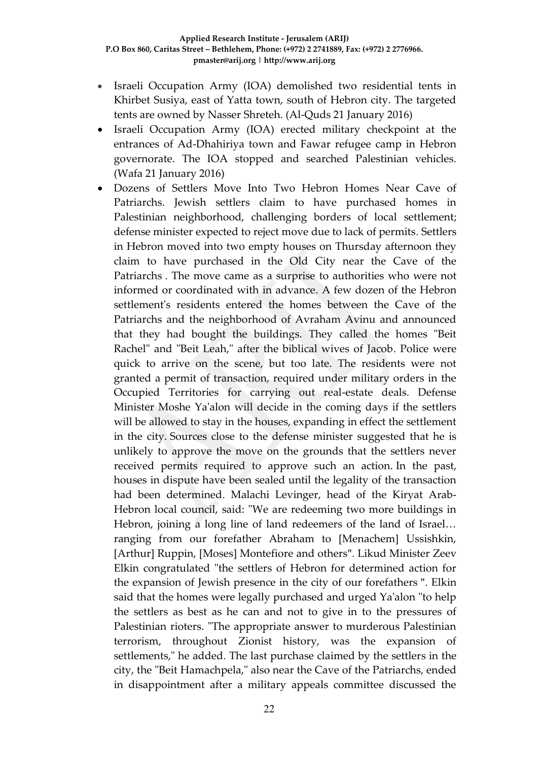- Israeli Occupation Army (IOA) demolished two residential tents in Khirbet Susiya, east of Yatta town, south of Hebron city. The targeted tents are owned by Nasser Shreteh. (Al-Quds 21 January 2016)
- Israeli Occupation Army (IOA) erected military checkpoint at the entrances of Ad-Dhahiriya town and Fawar refugee camp in Hebron governorate. The IOA stopped and searched Palestinian vehicles. (Wafa 21 January 2016)
- Dozens of Settlers Move Into Two Hebron Homes Near Cave of Patriarchs. Jewish settlers claim to have purchased homes in Palestinian neighborhood, challenging borders of local settlement; defense minister expected to reject move due to lack of permits. Settlers in Hebron moved into two empty houses on Thursday afternoon they claim to have purchased in the Old City near the Cave of the Patriarchs . The move came as a surprise to authorities who were not informed or coordinated with in advance. A few dozen of the Hebron settlement's residents entered the homes between the Cave of the Patriarchs and the neighborhood of Avraham Avinu and announced that they had bought the buildings. They called the homes "Beit Rachel" and "Beit Leah," after the biblical wives of Jacob. Police were quick to arrive on the scene, but too late. The residents were not granted a permit of transaction, required under military orders in the Occupied Territories for carrying out real-estate deals. Defense Minister Moshe Ya'alon will decide in the coming days if the settlers will be allowed to stay in the houses, expanding in effect the settlement in the city. Sources close to the defense minister suggested that he is unlikely to approve the move on the grounds that the settlers never received permits required to approve such an action. In the past, houses in dispute have been sealed until the legality of the transaction had been determined. Malachi Levinger, head of the Kiryat Arab-Hebron local council, said: "We are redeeming two more buildings in Hebron, joining a long line of land redeemers of the land of Israel… ranging from our forefather Abraham to [Menachem] Ussishkin, [Arthur] Ruppin, [Moses] Montefiore and others". Likud Minister Zeev Elkin congratulated "the settlers of Hebron for determined action for the expansion of Jewish presence in the city of our forefathers ". Elkin said that the homes were legally purchased and urged Ya'alon "to help the settlers as best as he can and not to give in to the pressures of Palestinian rioters. "The appropriate answer to murderous Palestinian terrorism, throughout Zionist history, was the expansion of settlements," he added. The last purchase claimed by the settlers in the city, the "Beit Hamachpela," also near the Cave of the Patriarchs, ended in disappointment after a military appeals committee discussed the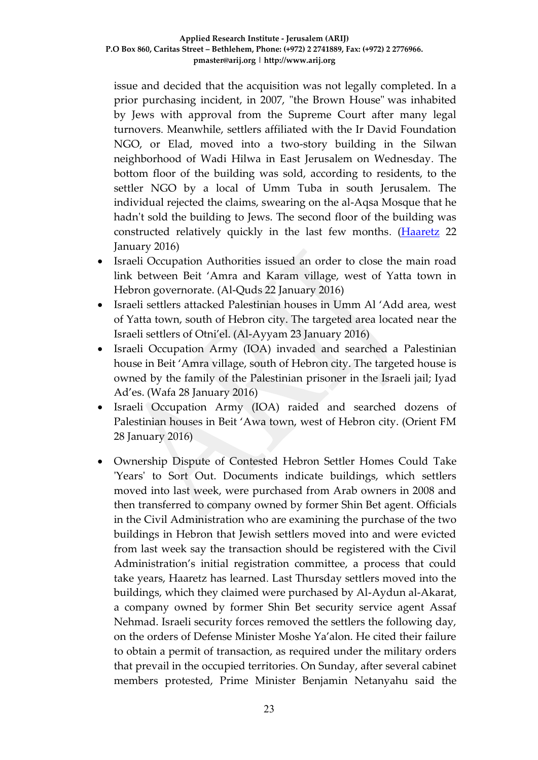issue and decided that the acquisition was not legally completed. In a prior purchasing incident, in 2007, "the Brown House" was inhabited by Jews with approval from the Supreme Court after many legal turnovers. Meanwhile, settlers affiliated with the Ir David Foundation NGO, or Elad, moved into a two-story building in the Silwan neighborhood of Wadi Hilwa in East Jerusalem on Wednesday. The bottom floor of the building was sold, according to residents, to the settler NGO by a local of Umm Tuba in south Jerusalem. The individual rejected the claims, swearing on the al-Aqsa Mosque that he hadn't sold the building to Jews. The second floor of the building was constructed relatively quickly in the last few months. [\(Haaretz](http://www.haaretz.com/israel-news/.premium-1.698799) 22 January 2016)

- Israeli Occupation Authorities issued an order to close the main road link between Beit 'Amra and Karam village, west of Yatta town in Hebron governorate. (Al-Quds 22 January 2016)
- Israeli settlers attacked Palestinian houses in Umm Al 'Add area, west of Yatta town, south of Hebron city. The targeted area located near the Israeli settlers of Otni'el. (Al-Ayyam 23 January 2016)
- Israeli Occupation Army (IOA) invaded and searched a Palestinian house in Beit 'Amra village, south of Hebron city. The targeted house is owned by the family of the Palestinian prisoner in the Israeli jail; Iyad Ad'es. (Wafa 28 January 2016)
- Israeli Occupation Army (IOA) raided and searched dozens of Palestinian houses in Beit 'Awa town, west of Hebron city. (Orient FM 28 January 2016)
- Ownership Dispute of Contested Hebron Settler Homes Could Take 'Years' to Sort Out. Documents indicate buildings, which settlers moved into last week, were purchased from Arab owners in 2008 and then transferred to company owned by former Shin Bet agent. Officials in the Civil Administration who are examining the purchase of the two buildings in Hebron that Jewish settlers moved into and were evicted from last week say the transaction should be registered with the Civil Administration's initial registration committee, a process that could take years, Haaretz has learned. Last Thursday settlers moved into the buildings, which they claimed were purchased by Al-Aydun al-Akarat, a company owned by former Shin Bet security service agent Assaf Nehmad. Israeli security forces removed the settlers the following day, on the orders of Defense Minister Moshe Ya'alon. He cited their failure to obtain a permit of transaction, as required under the military orders that prevail in the occupied territories. On Sunday, after several cabinet members protested, Prime Minister Benjamin Netanyahu said the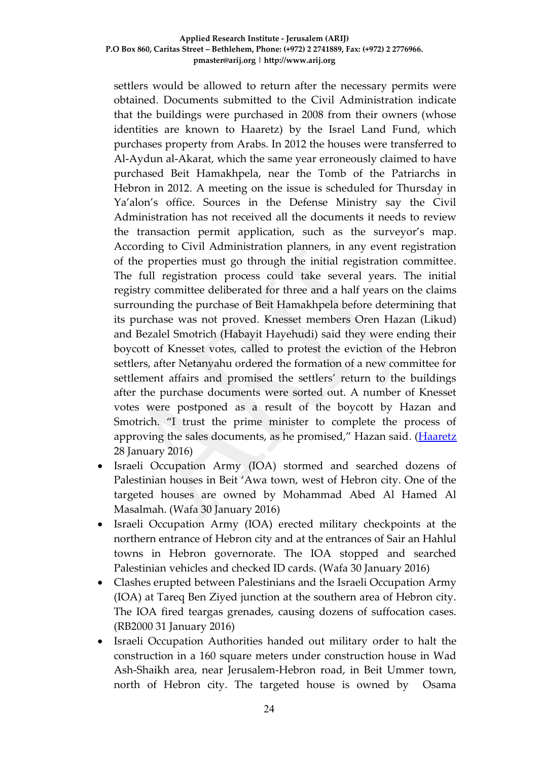settlers would be allowed to return after the necessary permits were obtained. Documents submitted to the Civil Administration indicate that the buildings were purchased in 2008 from their owners (whose identities are known to Haaretz) by the Israel Land Fund, which purchases property from Arabs. In 2012 the houses were transferred to Al-Aydun al-Akarat, which the same year erroneously claimed to have purchased Beit Hamakhpela, near the Tomb of the Patriarchs in Hebron in 2012. A meeting on the issue is scheduled for Thursday in Ya'alon's office. Sources in the Defense Ministry say the Civil Administration has not received all the documents it needs to review the transaction permit application, such as the surveyor's map. According to Civil Administration planners, in any event registration of the properties must go through the initial registration committee. The full registration process could take several years. The initial registry committee deliberated for three and a half years on the claims surrounding the purchase of Beit Hamakhpela before determining that its purchase was not proved. Knesset members Oren Hazan (Likud) and Bezalel Smotrich (Habayit Hayehudi) said they were ending their boycott of Knesset votes, called to protest the eviction of the Hebron settlers, after Netanyahu ordered the formation of a new committee for settlement affairs and promised the settlers' return to the buildings after the purchase documents were sorted out. A number of Knesset votes were postponed as a result of the boycott by Hazan and Smotrich. "I trust the prime minister to complete the process of approving the sales documents, as he promised," Hazan said. [\(Haaretz](http://www.haaretz.com/israel-news/.premium-1.699943) 28 January 2016)

- Israeli Occupation Army (IOA) stormed and searched dozens of Palestinian houses in Beit 'Awa town, west of Hebron city. One of the targeted houses are owned by Mohammad Abed Al Hamed Al Masalmah. (Wafa 30 January 2016)
- Israeli Occupation Army (IOA) erected military checkpoints at the northern entrance of Hebron city and at the entrances of Sair an Hahlul towns in Hebron governorate. The IOA stopped and searched Palestinian vehicles and checked ID cards. (Wafa 30 January 2016)
- Clashes erupted between Palestinians and the Israeli Occupation Army (IOA) at Tareq Ben Ziyed junction at the southern area of Hebron city. The IOA fired teargas grenades, causing dozens of suffocation cases. (RB2000 31 January 2016)
- Israeli Occupation Authorities handed out military order to halt the construction in a 160 square meters under construction house in Wad Ash-Shaikh area, near Jerusalem-Hebron road, in Beit Ummer town, north of Hebron city. The targeted house is owned by Osama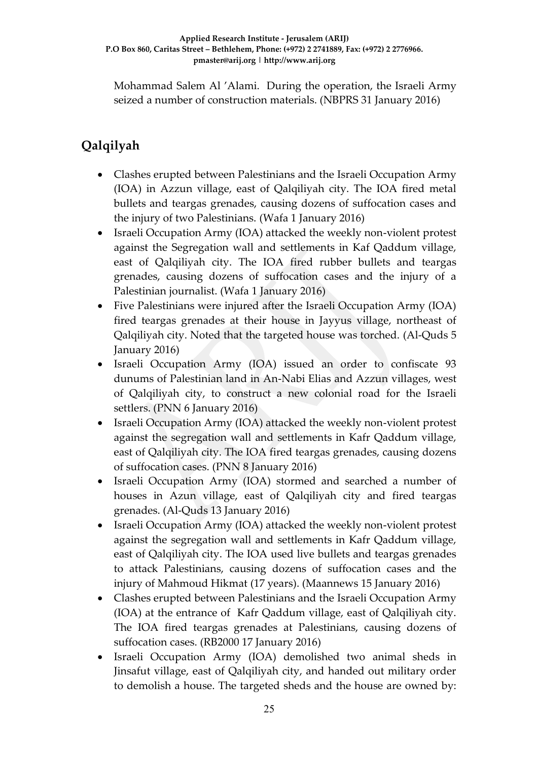Mohammad Salem Al 'Alami. During the operation, the Israeli Army seized a number of construction materials. (NBPRS 31 January 2016)

# **Qalqilyah**

- Clashes erupted between Palestinians and the Israeli Occupation Army (IOA) in Azzun village, east of Qalqiliyah city. The IOA fired metal bullets and teargas grenades, causing dozens of suffocation cases and the injury of two Palestinians. (Wafa 1 January 2016)
- Israeli Occupation Army (IOA) attacked the weekly non-violent protest against the Segregation wall and settlements in Kaf Qaddum village, east of Qalqiliyah city. The IOA fired rubber bullets and teargas grenades, causing dozens of suffocation cases and the injury of a Palestinian journalist. (Wafa 1 January 2016)
- Five Palestinians were injured after the Israeli Occupation Army (IOA) fired teargas grenades at their house in Jayyus village, northeast of Qalqiliyah city. Noted that the targeted house was torched. (Al-Quds 5 January 2016)
- Israeli Occupation Army (IOA) issued an order to confiscate 93 dunums of Palestinian land in An-Nabi Elias and Azzun villages, west of Qalqiliyah city, to construct a new colonial road for the Israeli settlers. (PNN 6 January 2016)
- Israeli Occupation Army (IOA) attacked the weekly non-violent protest against the segregation wall and settlements in Kafr Qaddum village, east of Qalqiliyah city. The IOA fired teargas grenades, causing dozens of suffocation cases. (PNN 8 January 2016)
- Israeli Occupation Army (IOA) stormed and searched a number of houses in Azun village, east of Qalqiliyah city and fired teargas grenades. (Al-Quds 13 January 2016)
- Israeli Occupation Army (IOA) attacked the weekly non-violent protest against the segregation wall and settlements in Kafr Qaddum village, east of Qalqiliyah city. The IOA used live bullets and teargas grenades to attack Palestinians, causing dozens of suffocation cases and the injury of Mahmoud Hikmat (17 years). (Maannews 15 January 2016)
- Clashes erupted between Palestinians and the Israeli Occupation Army (IOA) at the entrance of Kafr Qaddum village, east of Qalqiliyah city. The IOA fired teargas grenades at Palestinians, causing dozens of suffocation cases. (RB2000 17 January 2016)
- Israeli Occupation Army (IOA) demolished two animal sheds in Jinsafut village, east of Qalqiliyah city, and handed out military order to demolish a house. The targeted sheds and the house are owned by: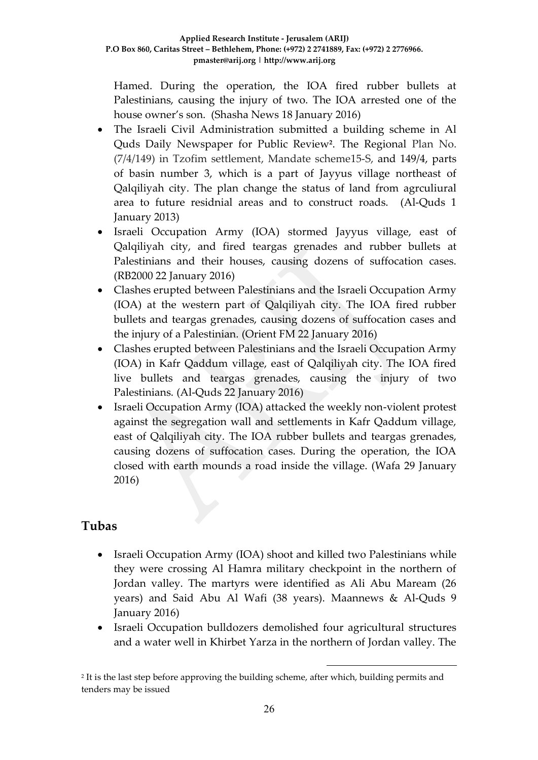Hamed. During the operation, the IOA fired rubber bullets at Palestinians, causing the injury of two. The IOA arrested one of the house owner's son. (Shasha News 18 January 2016)

- The Israeli Civil Administration submitted a building scheme in Al Quds Daily Newspaper for Public Review**<sup>2</sup>** . The Regional Plan No. (7/4/149) in Tzofim settlement, Mandate scheme15-S, and 149/4, parts of basin number 3, which is a part of Jayyus village northeast of Qalqiliyah city. The plan change the status of land from agrculiural area to future residnial areas and to construct roads. (Al-Quds 1 January 2013)
- Israeli Occupation Army (IOA) stormed Jayyus village, east of Qalqiliyah city, and fired teargas grenades and rubber bullets at Palestinians and their houses, causing dozens of suffocation cases. (RB2000 22 January 2016)
- Clashes erupted between Palestinians and the Israeli Occupation Army (IOA) at the western part of Qalqiliyah city. The IOA fired rubber bullets and teargas grenades, causing dozens of suffocation cases and the injury of a Palestinian. (Orient FM 22 January 2016)
- Clashes erupted between Palestinians and the Israeli Occupation Army (IOA) in Kafr Qaddum village, east of Qalqiliyah city. The IOA fired live bullets and teargas grenades, causing the injury of two Palestinians. (Al-Quds 22 January 2016)
- Israeli Occupation Army (IOA) attacked the weekly non-violent protest against the segregation wall and settlements in Kafr Qaddum village, east of Qalqiliyah city. The IOA rubber bullets and teargas grenades, causing dozens of suffocation cases. During the operation, the IOA closed with earth mounds a road inside the village. (Wafa 29 January 2016)

# **Tubas**

- Israeli Occupation Army (IOA) shoot and killed two Palestinians while they were crossing Al Hamra military checkpoint in the northern of Jordan valley. The martyrs were identified as Ali Abu Maream (26 years) and Said Abu Al Wafi (38 years). Maannews & Al-Quds 9 January 2016)
- Israeli Occupation bulldozers demolished four agricultural structures and a water well in Khirbet Yarza in the northern of Jordan valley. The

1

<sup>2</sup> It is the last step before approving the building scheme, after which, building permits and tenders may be issued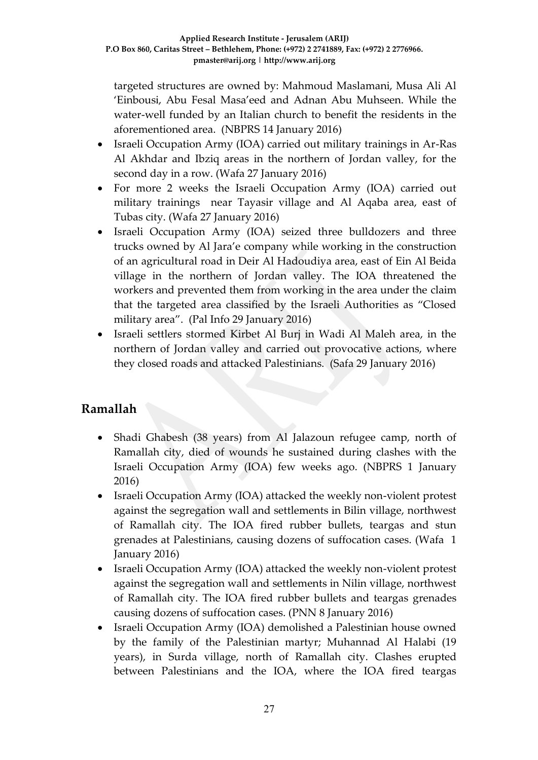targeted structures are owned by: Mahmoud Maslamani, Musa Ali Al 'Einbousi, Abu Fesal Masa'eed and Adnan Abu Muhseen. While the water-well funded by an Italian church to benefit the residents in the aforementioned area. (NBPRS 14 January 2016)

- Israeli Occupation Army (IOA) carried out military trainings in Ar-Ras Al Akhdar and Ibziq areas in the northern of Jordan valley, for the second day in a row. (Wafa 27 January 2016)
- For more 2 weeks the Israeli Occupation Army (IOA) carried out military trainings near Tayasir village and Al Aqaba area, east of Tubas city. (Wafa 27 January 2016)
- Israeli Occupation Army (IOA) seized three bulldozers and three trucks owned by Al Jara'e company while working in the construction of an agricultural road in Deir Al Hadoudiya area, east of Ein Al Beida village in the northern of Jordan valley. The IOA threatened the workers and prevented them from working in the area under the claim that the targeted area classified by the Israeli Authorities as "Closed military area". (Pal Info 29 January 2016)
- Israeli settlers stormed Kirbet Al Burj in Wadi Al Maleh area, in the northern of Jordan valley and carried out provocative actions, where they closed roads and attacked Palestinians. (Safa 29 January 2016)

# **Ramallah**

- Shadi Ghabesh (38 years) from Al Jalazoun refugee camp, north of Ramallah city, died of wounds he sustained during clashes with the Israeli Occupation Army (IOA) few weeks ago. (NBPRS 1 January 2016)
- Israeli Occupation Army (IOA) attacked the weekly non-violent protest against the segregation wall and settlements in Bilin village, northwest of Ramallah city. The IOA fired rubber bullets, teargas and stun grenades at Palestinians, causing dozens of suffocation cases. (Wafa 1 January 2016)
- Israeli Occupation Army (IOA) attacked the weekly non-violent protest against the segregation wall and settlements in Nilin village, northwest of Ramallah city. The IOA fired rubber bullets and teargas grenades causing dozens of suffocation cases. (PNN 8 January 2016)
- Israeli Occupation Army (IOA) demolished a Palestinian house owned by the family of the Palestinian martyr; Muhannad Al Halabi (19 years), in Surda village, north of Ramallah city. Clashes erupted between Palestinians and the IOA, where the IOA fired teargas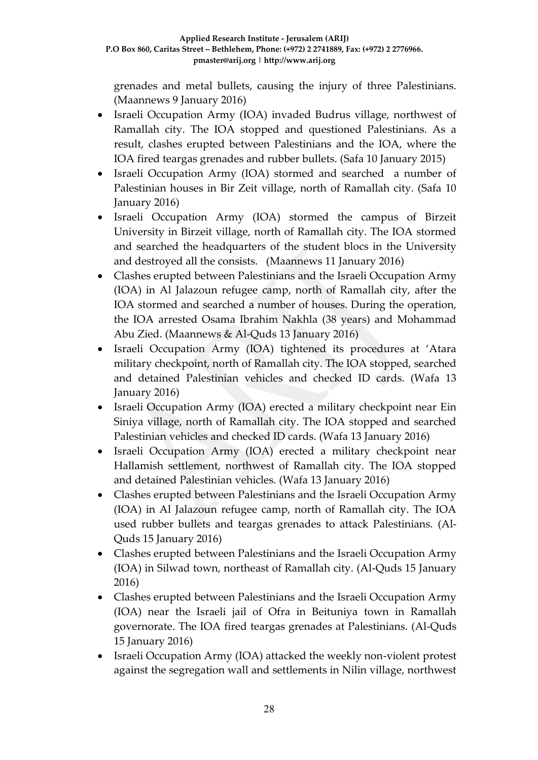grenades and metal bullets, causing the injury of three Palestinians. (Maannews 9 January 2016)

- Israeli Occupation Army (IOA) invaded Budrus village, northwest of Ramallah city. The IOA stopped and questioned Palestinians. As a result, clashes erupted between Palestinians and the IOA, where the IOA fired teargas grenades and rubber bullets. (Safa 10 January 2015)
- Israeli Occupation Army (IOA) stormed and searched a number of Palestinian houses in Bir Zeit village, north of Ramallah city. (Safa 10 January 2016)
- Israeli Occupation Army (IOA) stormed the campus of Birzeit University in Birzeit village, north of Ramallah city. The IOA stormed and searched the headquarters of the student blocs in the University and destroyed all the consists. (Maannews 11 January 2016)
- Clashes erupted between Palestinians and the Israeli Occupation Army (IOA) in Al Jalazoun refugee camp, north of Ramallah city, after the IOA stormed and searched a number of houses. During the operation, the IOA arrested Osama Ibrahim Nakhla (38 years) and Mohammad Abu Zied. (Maannews & Al-Quds 13 January 2016)
- Israeli Occupation Army (IOA) tightened its procedures at 'Atara military checkpoint, north of Ramallah city. The IOA stopped, searched and detained Palestinian vehicles and checked ID cards. (Wafa 13 January 2016)
- Israeli Occupation Army (IOA) erected a military checkpoint near Ein Siniya village, north of Ramallah city. The IOA stopped and searched Palestinian vehicles and checked ID cards. (Wafa 13 January 2016)
- Israeli Occupation Army (IOA) erected a military checkpoint near Hallamish settlement, northwest of Ramallah city. The IOA stopped and detained Palestinian vehicles. (Wafa 13 January 2016)
- Clashes erupted between Palestinians and the Israeli Occupation Army (IOA) in Al Jalazoun refugee camp, north of Ramallah city. The IOA used rubber bullets and teargas grenades to attack Palestinians. (Al-Quds 15 January 2016)
- Clashes erupted between Palestinians and the Israeli Occupation Army (IOA) in Silwad town, northeast of Ramallah city. (Al-Quds 15 January 2016)
- Clashes erupted between Palestinians and the Israeli Occupation Army (IOA) near the Israeli jail of Ofra in Beituniya town in Ramallah governorate. The IOA fired teargas grenades at Palestinians. (Al-Quds 15 January 2016)
- Israeli Occupation Army (IOA) attacked the weekly non-violent protest against the segregation wall and settlements in Nilin village, northwest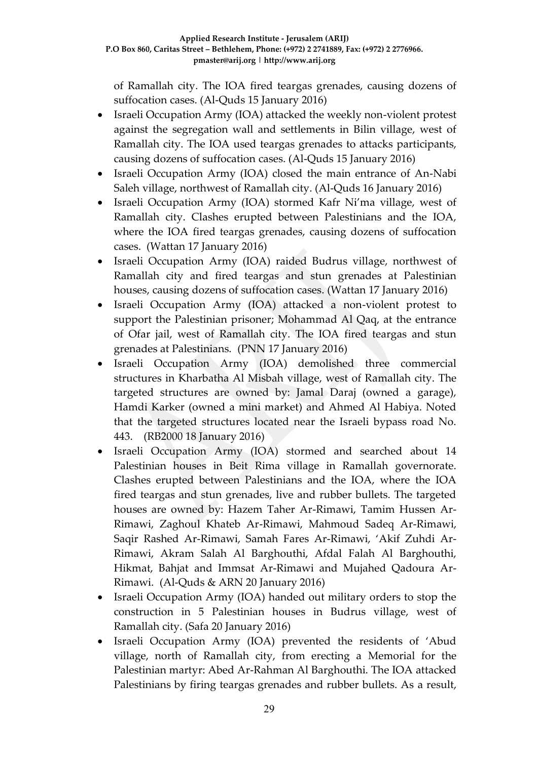of Ramallah city. The IOA fired teargas grenades, causing dozens of suffocation cases. (Al-Quds 15 January 2016)

- Israeli Occupation Army (IOA) attacked the weekly non-violent protest against the segregation wall and settlements in Bilin village, west of Ramallah city. The IOA used teargas grenades to attacks participants, causing dozens of suffocation cases. (Al-Quds 15 January 2016)
- Israeli Occupation Army (IOA) closed the main entrance of An-Nabi Saleh village, northwest of Ramallah city. (Al-Quds 16 January 2016)
- Israeli Occupation Army (IOA) stormed Kafr Ni'ma village, west of Ramallah city. Clashes erupted between Palestinians and the IOA, where the IOA fired teargas grenades, causing dozens of suffocation cases. (Wattan 17 January 2016)
- Israeli Occupation Army (IOA) raided Budrus village, northwest of Ramallah city and fired teargas and stun grenades at Palestinian houses, causing dozens of suffocation cases. (Wattan 17 January 2016)
- Israeli Occupation Army (IOA) attacked a non-violent protest to support the Palestinian prisoner; Mohammad Al Qaq, at the entrance of Ofar jail, west of Ramallah city. The IOA fired teargas and stun grenades at Palestinians. (PNN 17 January 2016)
- Israeli Occupation Army (IOA) demolished three commercial structures in Kharbatha Al Misbah village, west of Ramallah city. The targeted structures are owned by: Jamal Daraj (owned a garage), Hamdi Karker (owned a mini market) and Ahmed Al Habiya. Noted that the targeted structures located near the Israeli bypass road No. 443. (RB2000 18 January 2016)
- Israeli Occupation Army (IOA) stormed and searched about 14 Palestinian houses in Beit Rima village in Ramallah governorate. Clashes erupted between Palestinians and the IOA, where the IOA fired teargas and stun grenades, live and rubber bullets. The targeted houses are owned by: Hazem Taher Ar-Rimawi, Tamim Hussen Ar-Rimawi, Zaghoul Khateb Ar-Rimawi, Mahmoud Sadeq Ar-Rimawi, Saqir Rashed Ar-Rimawi, Samah Fares Ar-Rimawi, 'Akif Zuhdi Ar-Rimawi, Akram Salah Al Barghouthi, Afdal Falah Al Barghouthi, Hikmat, Bahjat and Immsat Ar-Rimawi and Mujahed Qadoura Ar-Rimawi. (Al-Quds & ARN 20 January 2016)
- Israeli Occupation Army (IOA) handed out military orders to stop the construction in 5 Palestinian houses in Budrus village, west of Ramallah city. (Safa 20 January 2016)
- Israeli Occupation Army (IOA) prevented the residents of 'Abud village, north of Ramallah city, from erecting a Memorial for the Palestinian martyr: Abed Ar-Rahman Al Barghouthi. The IOA attacked Palestinians by firing teargas grenades and rubber bullets. As a result,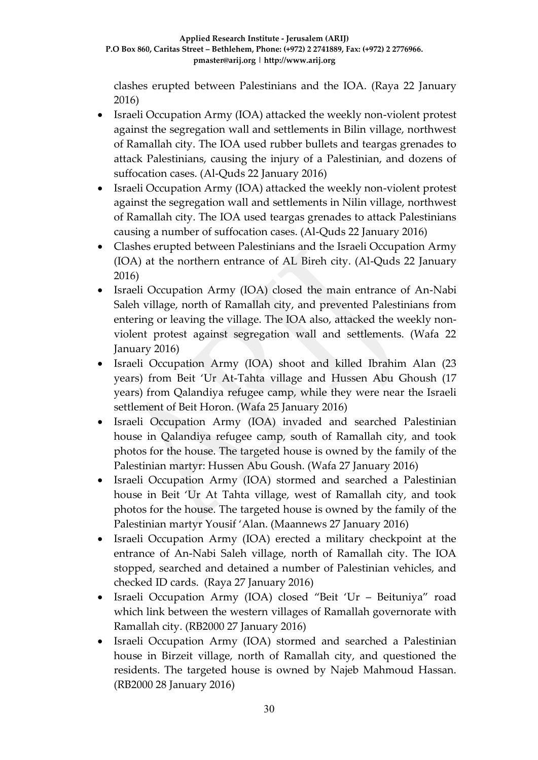clashes erupted between Palestinians and the IOA. (Raya 22 January 2016)

- Israeli Occupation Army (IOA) attacked the weekly non-violent protest against the segregation wall and settlements in Bilin village, northwest of Ramallah city. The IOA used rubber bullets and teargas grenades to attack Palestinians, causing the injury of a Palestinian, and dozens of suffocation cases. (Al-Quds 22 January 2016)
- Israeli Occupation Army (IOA) attacked the weekly non-violent protest against the segregation wall and settlements in Nilin village, northwest of Ramallah city. The IOA used teargas grenades to attack Palestinians causing a number of suffocation cases. (Al-Quds 22 January 2016)
- Clashes erupted between Palestinians and the Israeli Occupation Army (IOA) at the northern entrance of AL Bireh city. (Al-Quds 22 January 2016)
- Israeli Occupation Army (IOA) closed the main entrance of An-Nabi Saleh village, north of Ramallah city, and prevented Palestinians from entering or leaving the village. The IOA also, attacked the weekly nonviolent protest against segregation wall and settlements. (Wafa 22 January 2016)
- Israeli Occupation Army (IOA) shoot and killed Ibrahim Alan (23 years) from Beit 'Ur At-Tahta village and Hussen Abu Ghoush (17 years) from Qalandiya refugee camp, while they were near the Israeli settlement of Beit Horon. (Wafa 25 January 2016)
- Israeli Occupation Army (IOA) invaded and searched Palestinian house in Qalandiya refugee camp, south of Ramallah city, and took photos for the house. The targeted house is owned by the family of the Palestinian martyr: Hussen Abu Goush. (Wafa 27 January 2016)
- Israeli Occupation Army (IOA) stormed and searched a Palestinian house in Beit 'Ur At Tahta village, west of Ramallah city, and took photos for the house. The targeted house is owned by the family of the Palestinian martyr Yousif 'Alan. (Maannews 27 January 2016)
- Israeli Occupation Army (IOA) erected a military checkpoint at the entrance of An-Nabi Saleh village, north of Ramallah city. The IOA stopped, searched and detained a number of Palestinian vehicles, and checked ID cards. (Raya 27 January 2016)
- Israeli Occupation Army (IOA) closed "Beit 'Ur Beituniya" road which link between the western villages of Ramallah governorate with Ramallah city. (RB2000 27 January 2016)
- Israeli Occupation Army (IOA) stormed and searched a Palestinian house in Birzeit village, north of Ramallah city, and questioned the residents. The targeted house is owned by Najeb Mahmoud Hassan. (RB2000 28 January 2016)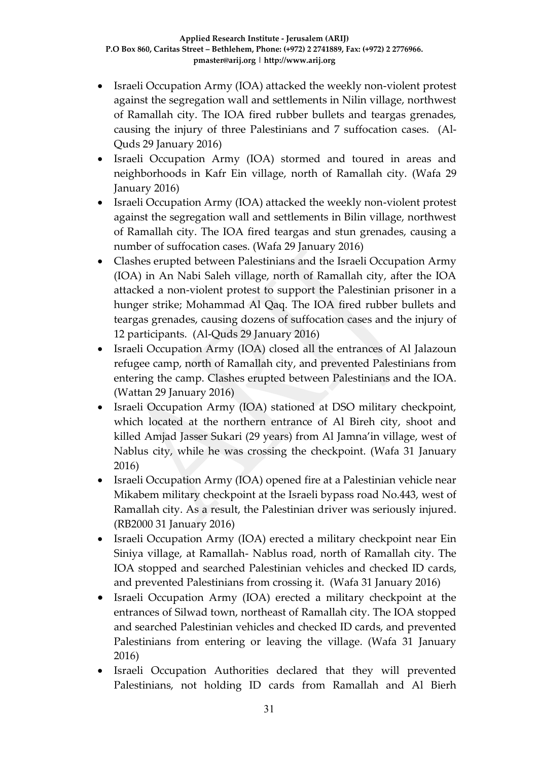- Israeli Occupation Army (IOA) attacked the weekly non-violent protest against the segregation wall and settlements in Nilin village, northwest of Ramallah city. The IOA fired rubber bullets and teargas grenades, causing the injury of three Palestinians and 7 suffocation cases. (Al-Quds 29 January 2016)
- Israeli Occupation Army (IOA) stormed and toured in areas and neighborhoods in Kafr Ein village, north of Ramallah city. (Wafa 29 January 2016)
- Israeli Occupation Army (IOA) attacked the weekly non-violent protest against the segregation wall and settlements in Bilin village, northwest of Ramallah city. The IOA fired teargas and stun grenades, causing a number of suffocation cases. (Wafa 29 January 2016)
- Clashes erupted between Palestinians and the Israeli Occupation Army (IOA) in An Nabi Saleh village, north of Ramallah city, after the IOA attacked a non-violent protest to support the Palestinian prisoner in a hunger strike; Mohammad Al Qaq. The IOA fired rubber bullets and teargas grenades, causing dozens of suffocation cases and the injury of 12 participants. (Al-Quds 29 January 2016)
- Israeli Occupation Army (IOA) closed all the entrances of Al Jalazoun refugee camp, north of Ramallah city, and prevented Palestinians from entering the camp. Clashes erupted between Palestinians and the IOA. (Wattan 29 January 2016)
- Israeli Occupation Army (IOA) stationed at DSO military checkpoint, which located at the northern entrance of Al Bireh city, shoot and killed Amjad Jasser Sukari (29 years) from Al Jamna'in village, west of Nablus city, while he was crossing the checkpoint. (Wafa 31 January 2016)
- Israeli Occupation Army (IOA) opened fire at a Palestinian vehicle near Mikabem military checkpoint at the Israeli bypass road No.443, west of Ramallah city. As a result, the Palestinian driver was seriously injured. (RB2000 31 January 2016)
- Israeli Occupation Army (IOA) erected a military checkpoint near Ein Siniya village, at Ramallah- Nablus road, north of Ramallah city. The IOA stopped and searched Palestinian vehicles and checked ID cards, and prevented Palestinians from crossing it. (Wafa 31 January 2016)
- Israeli Occupation Army (IOA) erected a military checkpoint at the entrances of Silwad town, northeast of Ramallah city. The IOA stopped and searched Palestinian vehicles and checked ID cards, and prevented Palestinians from entering or leaving the village. (Wafa 31 January 2016)
- Israeli Occupation Authorities declared that they will prevented Palestinians, not holding ID cards from Ramallah and Al Bierh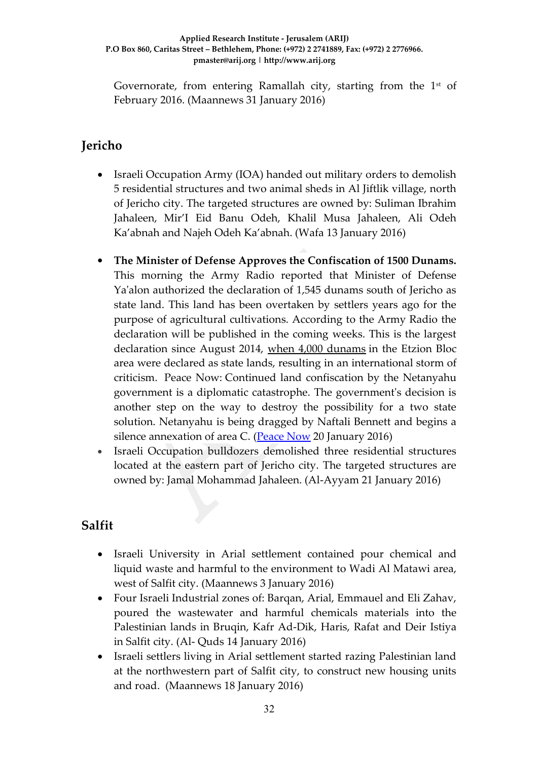Governorate, from entering Ramallah city, starting from the  $1<sup>st</sup>$  of February 2016. (Maannews 31 January 2016)

## **Jericho**

- Israeli Occupation Army (IOA) handed out military orders to demolish 5 residential structures and two animal sheds in Al Jiftlik village, north of Jericho city. The targeted structures are owned by: Suliman Ibrahim Jahaleen, Mir'I Eid Banu Odeh, Khalil Musa Jahaleen, Ali Odeh Ka'abnah and Najeh Odeh Ka'abnah. (Wafa 13 January 2016)
- **The Minister of Defense Approves the Confiscation of 1500 Dunams.**  This morning the Army Radio reported that Minister of Defense Ya'alon authorized the declaration of 1,545 dunams south of Jericho as state land. This land has been overtaken by settlers years ago for the purpose of agricultural cultivations. According to the Army Radio the declaration will be published in the coming weeks. This is the largest declaration since August 2014, [when 4,000 dunams](http://peacenow.org.il/eng/GvaotDecleration) in the Etzion Bloc area were declared as state lands, resulting in an international storm of criticism. Peace Now: Continued land confiscation by the Netanyahu government is a diplomatic catastrophe. The government's decision is another step on the way to destroy the possibility for a two state solution. Netanyahu is being dragged by Naftali Bennett and begins a silence annexation of area C. [\(Peace Now](http://peacenow.org.il/eng/JerichoDeclaration) 20 January 2016)
- Israeli Occupation bulldozers demolished three residential structures located at the eastern part of Jericho city. The targeted structures are owned by: Jamal Mohammad Jahaleen. (Al-Ayyam 21 January 2016)

# **Salfit**

- Israeli University in Arial settlement contained pour chemical and liquid waste and harmful to the environment to Wadi Al Matawi area, west of Salfit city. (Maannews 3 January 2016)
- Four Israeli Industrial zones of: Barqan, Arial, Emmauel and Eli Zahav, poured the wastewater and harmful chemicals materials into the Palestinian lands in Bruqin, Kafr Ad-Dik, Haris, Rafat and Deir Istiya in Salfit city. (Al- Quds 14 January 2016)
- Israeli settlers living in Arial settlement started razing Palestinian land at the northwestern part of Salfit city, to construct new housing units and road. (Maannews 18 January 2016)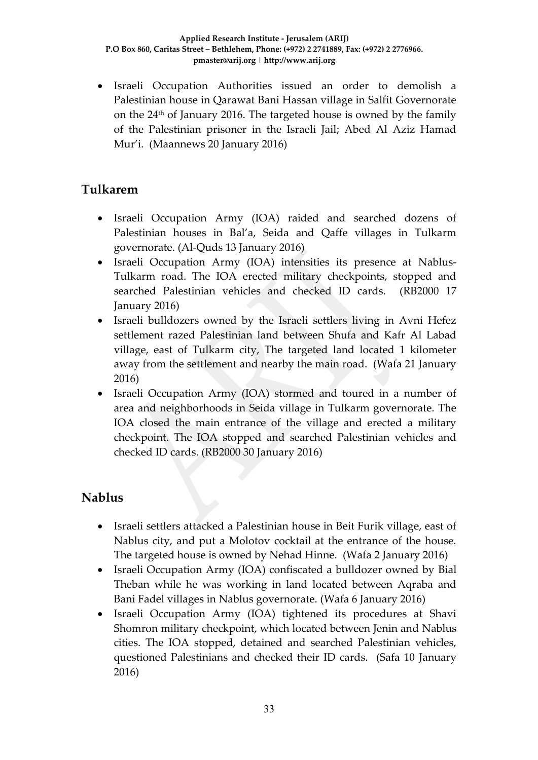Israeli Occupation Authorities issued an order to demolish a Palestinian house in Qarawat Bani Hassan village in Salfit Governorate on the  $24<sup>th</sup>$  of January 2016. The targeted house is owned by the family of the Palestinian prisoner in the Israeli Jail; Abed Al Aziz Hamad Mur'i. (Maannews 20 January 2016)

### **Tulkarem**

- Israeli Occupation Army (IOA) raided and searched dozens of Palestinian houses in Bal'a, Seida and Qaffe villages in Tulkarm governorate. (Al-Quds 13 January 2016)
- Israeli Occupation Army (IOA) intensities its presence at Nablus-Tulkarm road. The IOA erected military checkpoints, stopped and searched Palestinian vehicles and checked ID cards. (RB2000 17 January 2016)
- Israeli bulldozers owned by the Israeli settlers living in Avni Hefez settlement razed Palestinian land between Shufa and Kafr Al Labad village, east of Tulkarm city, The targeted land located 1 kilometer away from the settlement and nearby the main road. (Wafa 21 January 2016)
- Israeli Occupation Army (IOA) stormed and toured in a number of area and neighborhoods in Seida village in Tulkarm governorate. The IOA closed the main entrance of the village and erected a military checkpoint. The IOA stopped and searched Palestinian vehicles and checked ID cards. (RB2000 30 January 2016)

# **Nablus**

- Israeli settlers attacked a Palestinian house in Beit Furik village, east of Nablus city, and put a Molotov cocktail at the entrance of the house. The targeted house is owned by Nehad Hinne. (Wafa 2 January 2016)
- Israeli Occupation Army (IOA) confiscated a bulldozer owned by Bial Theban while he was working in land located between Aqraba and Bani Fadel villages in Nablus governorate. (Wafa 6 January 2016)
- Israeli Occupation Army (IOA) tightened its procedures at Shavi Shomron military checkpoint, which located between Jenin and Nablus cities. The IOA stopped, detained and searched Palestinian vehicles, questioned Palestinians and checked their ID cards. (Safa 10 January 2016)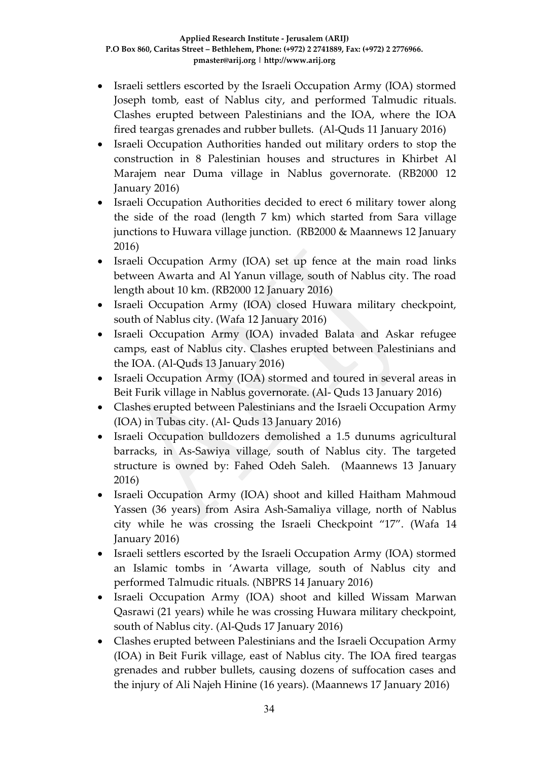- Israeli settlers escorted by the Israeli Occupation Army (IOA) stormed Joseph tomb, east of Nablus city, and performed Talmudic rituals. Clashes erupted between Palestinians and the IOA, where the IOA fired teargas grenades and rubber bullets. (Al-Quds 11 January 2016)
- Israeli Occupation Authorities handed out military orders to stop the construction in 8 Palestinian houses and structures in Khirbet Al Marajem near Duma village in Nablus governorate. (RB2000 12 January 2016)
- Israeli Occupation Authorities decided to erect 6 military tower along the side of the road (length 7 km) which started from Sara village junctions to Huwara village junction. (RB2000 & Maannews 12 January 2016)
- Israeli Occupation Army (IOA) set up fence at the main road links between Awarta and Al Yanun village, south of Nablus city. The road length about 10 km. (RB2000 12 January 2016)
- Israeli Occupation Army (IOA) closed Huwara military checkpoint, south of Nablus city. (Wafa 12 January 2016)
- Israeli Occupation Army (IOA) invaded Balata and Askar refugee camps, east of Nablus city. Clashes erupted between Palestinians and the IOA. (Al-Quds 13 January 2016)
- Israeli Occupation Army (IOA) stormed and toured in several areas in Beit Furik village in Nablus governorate. (Al- Quds 13 January 2016)
- Clashes erupted between Palestinians and the Israeli Occupation Army (IOA) in Tubas city. (Al- Quds 13 January 2016)
- Israeli Occupation bulldozers demolished a 1.5 dunums agricultural barracks, in As-Sawiya village, south of Nablus city. The targeted structure is owned by: Fahed Odeh Saleh. (Maannews 13 January 2016)
- Israeli Occupation Army (IOA) shoot and killed Haitham Mahmoud Yassen (36 years) from Asira Ash-Samaliya village, north of Nablus city while he was crossing the Israeli Checkpoint "17". (Wafa 14 January 2016)
- Israeli settlers escorted by the Israeli Occupation Army (IOA) stormed an Islamic tombs in 'Awarta village, south of Nablus city and performed Talmudic rituals. (NBPRS 14 January 2016)
- Israeli Occupation Army (IOA) shoot and killed Wissam Marwan Qasrawi (21 years) while he was crossing Huwara military checkpoint, south of Nablus city. (Al-Quds 17 January 2016)
- Clashes erupted between Palestinians and the Israeli Occupation Army (IOA) in Beit Furik village, east of Nablus city. The IOA fired teargas grenades and rubber bullets, causing dozens of suffocation cases and the injury of Ali Najeh Hinine (16 years). (Maannews 17 January 2016)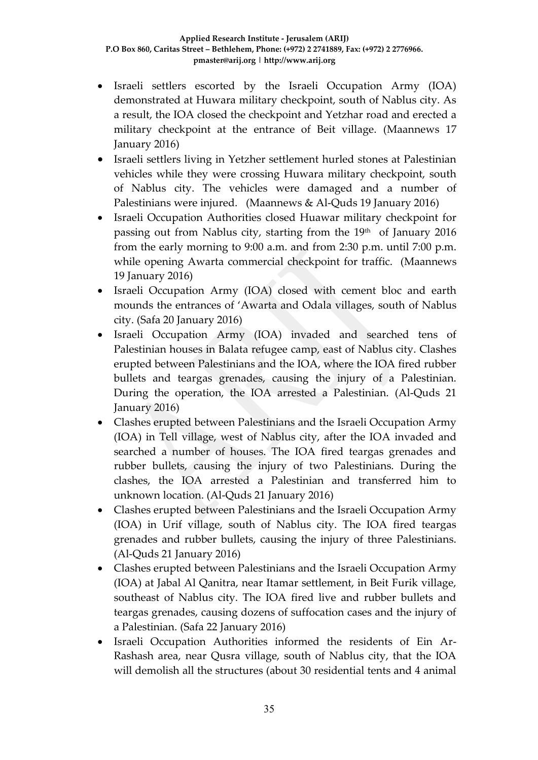- Israeli settlers escorted by the Israeli Occupation Army (IOA) demonstrated at Huwara military checkpoint, south of Nablus city. As a result, the IOA closed the checkpoint and Yetzhar road and erected a military checkpoint at the entrance of Beit village. (Maannews 17 January 2016)
- Israeli settlers living in Yetzher settlement hurled stones at Palestinian vehicles while they were crossing Huwara military checkpoint, south of Nablus city. The vehicles were damaged and a number of Palestinians were injured. (Maannews & Al-Quds 19 January 2016)
- Israeli Occupation Authorities closed Huawar military checkpoint for passing out from Nablus city, starting from the  $19<sup>th</sup>$  of January 2016 from the early morning to 9:00 a.m. and from 2:30 p.m. until 7:00 p.m. while opening Awarta commercial checkpoint for traffic. (Maannews 19 January 2016)
- Israeli Occupation Army (IOA) closed with cement bloc and earth mounds the entrances of 'Awarta and Odala villages, south of Nablus city. (Safa 20 January 2016)
- Israeli Occupation Army (IOA) invaded and searched tens of Palestinian houses in Balata refugee camp, east of Nablus city. Clashes erupted between Palestinians and the IOA, where the IOA fired rubber bullets and teargas grenades, causing the injury of a Palestinian. During the operation, the IOA arrested a Palestinian. (Al-Quds 21 January 2016)
- Clashes erupted between Palestinians and the Israeli Occupation Army (IOA) in Tell village, west of Nablus city, after the IOA invaded and searched a number of houses. The IOA fired teargas grenades and rubber bullets, causing the injury of two Palestinians. During the clashes, the IOA arrested a Palestinian and transferred him to unknown location. (Al-Quds 21 January 2016)
- Clashes erupted between Palestinians and the Israeli Occupation Army (IOA) in Urif village, south of Nablus city. The IOA fired teargas grenades and rubber bullets, causing the injury of three Palestinians. (Al-Quds 21 January 2016)
- Clashes erupted between Palestinians and the Israeli Occupation Army (IOA) at Jabal Al Qanitra, near Itamar settlement, in Beit Furik village, southeast of Nablus city. The IOA fired live and rubber bullets and teargas grenades, causing dozens of suffocation cases and the injury of a Palestinian. (Safa 22 January 2016)
- Israeli Occupation Authorities informed the residents of Ein Ar-Rashash area, near Qusra village, south of Nablus city, that the IOA will demolish all the structures (about 30 residential tents and 4 animal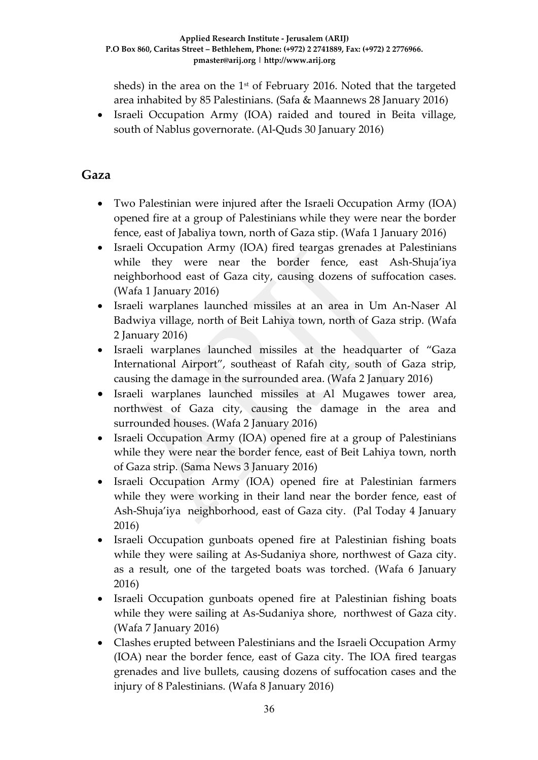sheds) in the area on the  $1<sup>st</sup>$  of February 2016. Noted that the targeted area inhabited by 85 Palestinians. (Safa & Maannews 28 January 2016)

 Israeli Occupation Army (IOA) raided and toured in Beita village, south of Nablus governorate. (Al-Quds 30 January 2016)

### **Gaza**

- Two Palestinian were injured after the Israeli Occupation Army (IOA) opened fire at a group of Palestinians while they were near the border fence, east of Jabaliya town, north of Gaza stip. (Wafa 1 January 2016)
- Israeli Occupation Army (IOA) fired teargas grenades at Palestinians while they were near the border fence, east Ash-Shuja'iya neighborhood east of Gaza city, causing dozens of suffocation cases. (Wafa 1 January 2016)
- Israeli warplanes launched missiles at an area in Um An-Naser Al Badwiya village, north of Beit Lahiya town, north of Gaza strip. (Wafa 2 January 2016)
- Israeli warplanes launched missiles at the headquarter of "Gaza International Airport", southeast of Rafah city, south of Gaza strip, causing the damage in the surrounded area. (Wafa 2 January 2016)
- Israeli warplanes launched missiles at Al Mugawes tower area, northwest of Gaza city, causing the damage in the area and surrounded houses. (Wafa 2 January 2016)
- Israeli Occupation Army (IOA) opened fire at a group of Palestinians while they were near the border fence, east of Beit Lahiya town, north of Gaza strip. (Sama News 3 January 2016)
- Israeli Occupation Army (IOA) opened fire at Palestinian farmers while they were working in their land near the border fence, east of Ash-Shuja'iya neighborhood, east of Gaza city. (Pal Today 4 January 2016)
- Israeli Occupation gunboats opened fire at Palestinian fishing boats while they were sailing at As-Sudaniya shore, northwest of Gaza city. as a result, one of the targeted boats was torched. (Wafa 6 January 2016)
- Israeli Occupation gunboats opened fire at Palestinian fishing boats while they were sailing at As-Sudaniya shore, northwest of Gaza city. (Wafa 7 January 2016)
- Clashes erupted between Palestinians and the Israeli Occupation Army (IOA) near the border fence, east of Gaza city. The IOA fired teargas grenades and live bullets, causing dozens of suffocation cases and the injury of 8 Palestinians. (Wafa 8 January 2016)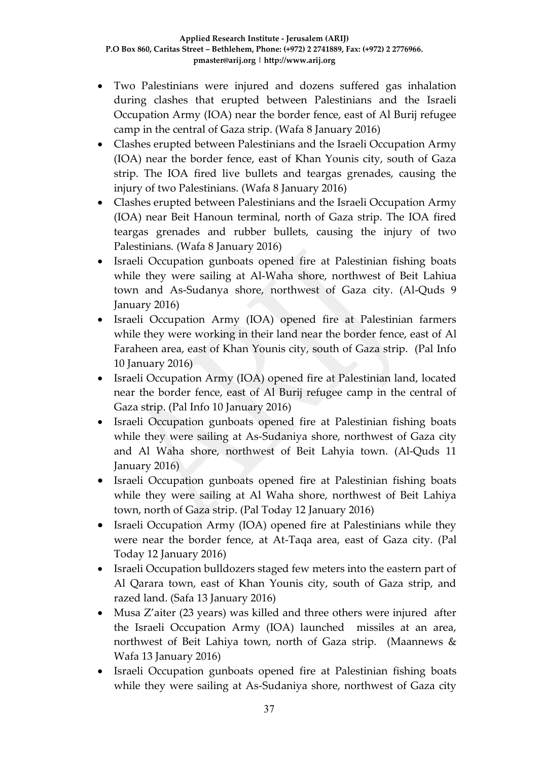- Two Palestinians were injured and dozens suffered gas inhalation during clashes that erupted between Palestinians and the Israeli Occupation Army (IOA) near the border fence, east of Al Burij refugee camp in the central of Gaza strip. (Wafa 8 January 2016)
- Clashes erupted between Palestinians and the Israeli Occupation Army (IOA) near the border fence, east of Khan Younis city, south of Gaza strip. The IOA fired live bullets and teargas grenades, causing the injury of two Palestinians. (Wafa 8 January 2016)
- Clashes erupted between Palestinians and the Israeli Occupation Army (IOA) near Beit Hanoun terminal, north of Gaza strip. The IOA fired teargas grenades and rubber bullets, causing the injury of two Palestinians. (Wafa 8 January 2016)
- Israeli Occupation gunboats opened fire at Palestinian fishing boats while they were sailing at Al-Waha shore, northwest of Beit Lahiua town and As-Sudanya shore, northwest of Gaza city. (Al-Quds 9 January 2016)
- Israeli Occupation Army (IOA) opened fire at Palestinian farmers while they were working in their land near the border fence, east of Al Faraheen area, east of Khan Younis city, south of Gaza strip. (Pal Info 10 January 2016)
- Israeli Occupation Army (IOA) opened fire at Palestinian land, located near the border fence, east of Al Burij refugee camp in the central of Gaza strip. (Pal Info 10 January 2016)
- Israeli Occupation gunboats opened fire at Palestinian fishing boats while they were sailing at As-Sudaniya shore, northwest of Gaza city and Al Waha shore, northwest of Beit Lahyia town. (Al-Quds 11 January 2016)
- Israeli Occupation gunboats opened fire at Palestinian fishing boats while they were sailing at Al Waha shore, northwest of Beit Lahiya town, north of Gaza strip. (Pal Today 12 January 2016)
- Israeli Occupation Army (IOA) opened fire at Palestinians while they were near the border fence, at At-Taqa area, east of Gaza city. (Pal Today 12 January 2016)
- Israeli Occupation bulldozers staged few meters into the eastern part of Al Qarara town, east of Khan Younis city, south of Gaza strip, and razed land. (Safa 13 January 2016)
- Musa Z'aiter (23 years) was killed and three others were injured after the Israeli Occupation Army (IOA) launched missiles at an area, northwest of Beit Lahiya town, north of Gaza strip. (Maannews & Wafa 13 January 2016)
- Israeli Occupation gunboats opened fire at Palestinian fishing boats while they were sailing at As-Sudaniya shore, northwest of Gaza city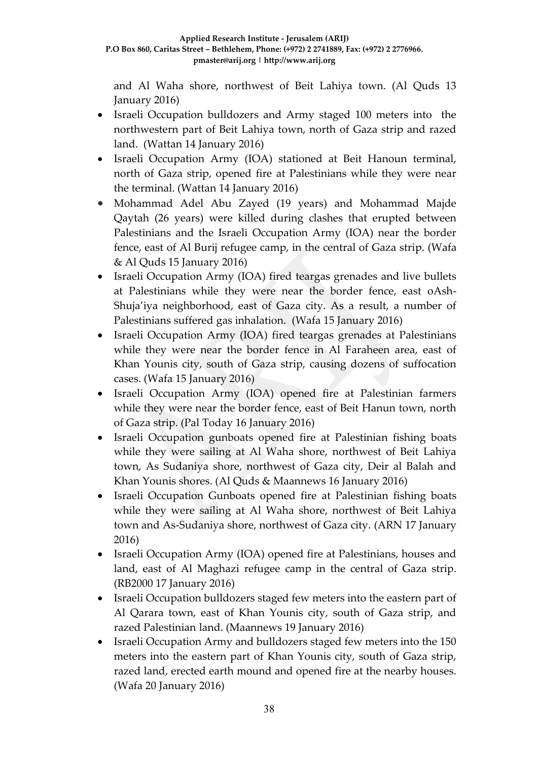and Al Waha shore, northwest of Beit Lahiya town. (Al Quds 13 January 2016)

- Israeli Occupation bulldozers and Army staged 100 meters into the northwestern part of Beit Lahiya town, north of Gaza strip and razed land. (Wattan 14 January 2016)
- Israeli Occupation Army (IOA) stationed at Beit Hanoun terminal, north of Gaza strip, opened fire at Palestinians while they were near the terminal. (Wattan 14 January 2016)
- Mohammad Adel Abu Zayed (19 years) and Mohammad Majde Qaytah (26 years) were killed during clashes that erupted between Palestinians and the Israeli Occupation Army (IOA) near the border fence, east of Al Burij refugee camp, in the central of Gaza strip. (Wafa & Al Quds 15 January 2016)
- Israeli Occupation Army (IOA) fired teargas grenades and live bullets at Palestinians while they were near the border fence, east oAsh-Shuja'iya neighborhood, east of Gaza city. As a result, a number of Palestinians suffered gas inhalation. (Wafa 15 January 2016)
- Israeli Occupation Army (IOA) fired teargas grenades at Palestinians while they were near the border fence in Al Faraheen area, east of Khan Younis city, south of Gaza strip, causing dozens of suffocation cases. (Wafa 15 January 2016)
- Israeli Occupation Army (IOA) opened fire at Palestinian farmers while they were near the border fence, east of Beit Hanun town, north of Gaza strip. (Pal Today 16 January 2016)
- Israeli Occupation gunboats opened fire at Palestinian fishing boats while they were sailing at Al Waha shore, northwest of Beit Lahiya town, As Sudaniya shore, northwest of Gaza city, Deir al Balah and Khan Younis shores. (Al Quds & Maannews 16 January 2016)
- Israeli Occupation Gunboats opened fire at Palestinian fishing boats while they were sailing at Al Waha shore, northwest of Beit Lahiya town and As-Sudaniya shore, northwest of Gaza city. (ARN 17 January 2016)
- Israeli Occupation Army (IOA) opened fire at Palestinians, houses and land, east of Al Maghazi refugee camp in the central of Gaza strip. (RB2000 17 January 2016)
- Israeli Occupation bulldozers staged few meters into the eastern part of Al Qarara town, east of Khan Younis city, south of Gaza strip, and razed Palestinian land. (Maannews 19 January 2016)
- Israeli Occupation Army and bulldozers staged few meters into the 150 meters into the eastern part of Khan Younis city, south of Gaza strip, razed land, erected earth mound and opened fire at the nearby houses. (Wafa 20 January 2016)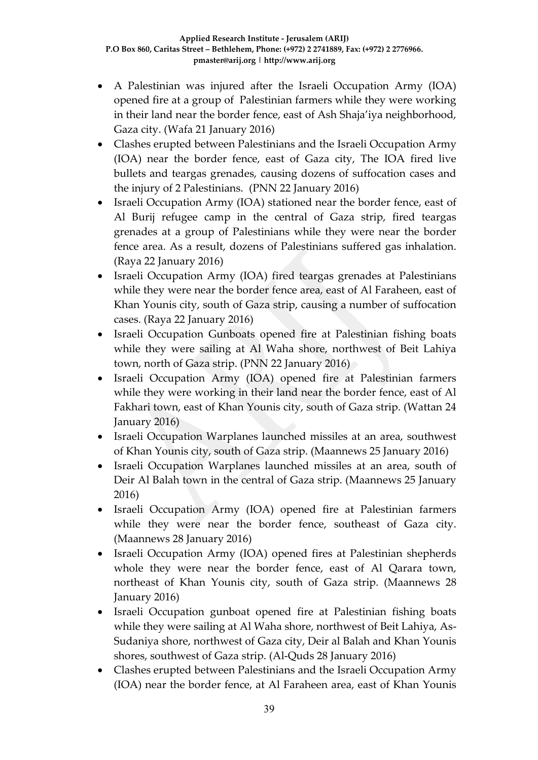- A Palestinian was injured after the Israeli Occupation Army (IOA) opened fire at a group of Palestinian farmers while they were working in their land near the border fence, east of Ash Shaja'iya neighborhood, Gaza city. (Wafa 21 January 2016)
- Clashes erupted between Palestinians and the Israeli Occupation Army (IOA) near the border fence, east of Gaza city, The IOA fired live bullets and teargas grenades, causing dozens of suffocation cases and the injury of 2 Palestinians. (PNN 22 January 2016)
- Israeli Occupation Army (IOA) stationed near the border fence, east of Al Burij refugee camp in the central of Gaza strip, fired teargas grenades at a group of Palestinians while they were near the border fence area. As a result, dozens of Palestinians suffered gas inhalation. (Raya 22 January 2016)
- Israeli Occupation Army (IOA) fired teargas grenades at Palestinians while they were near the border fence area, east of Al Faraheen, east of Khan Younis city, south of Gaza strip, causing a number of suffocation cases. (Raya 22 January 2016)
- Israeli Occupation Gunboats opened fire at Palestinian fishing boats while they were sailing at Al Waha shore, northwest of Beit Lahiya town, north of Gaza strip. (PNN 22 January 2016)
- Israeli Occupation Army (IOA) opened fire at Palestinian farmers while they were working in their land near the border fence, east of Al Fakhari town, east of Khan Younis city, south of Gaza strip. (Wattan 24 January 2016)
- Israeli Occupation Warplanes launched missiles at an area, southwest of Khan Younis city, south of Gaza strip. (Maannews 25 January 2016)
- Israeli Occupation Warplanes launched missiles at an area, south of Deir Al Balah town in the central of Gaza strip. (Maannews 25 January 2016)
- Israeli Occupation Army (IOA) opened fire at Palestinian farmers while they were near the border fence, southeast of Gaza city. (Maannews 28 January 2016)
- Israeli Occupation Army (IOA) opened fires at Palestinian shepherds whole they were near the border fence, east of Al Qarara town, northeast of Khan Younis city, south of Gaza strip. (Maannews 28 January 2016)
- Israeli Occupation gunboat opened fire at Palestinian fishing boats while they were sailing at Al Waha shore, northwest of Beit Lahiya, As-Sudaniya shore, northwest of Gaza city, Deir al Balah and Khan Younis shores, southwest of Gaza strip. (Al-Quds 28 January 2016)
- Clashes erupted between Palestinians and the Israeli Occupation Army (IOA) near the border fence, at Al Faraheen area, east of Khan Younis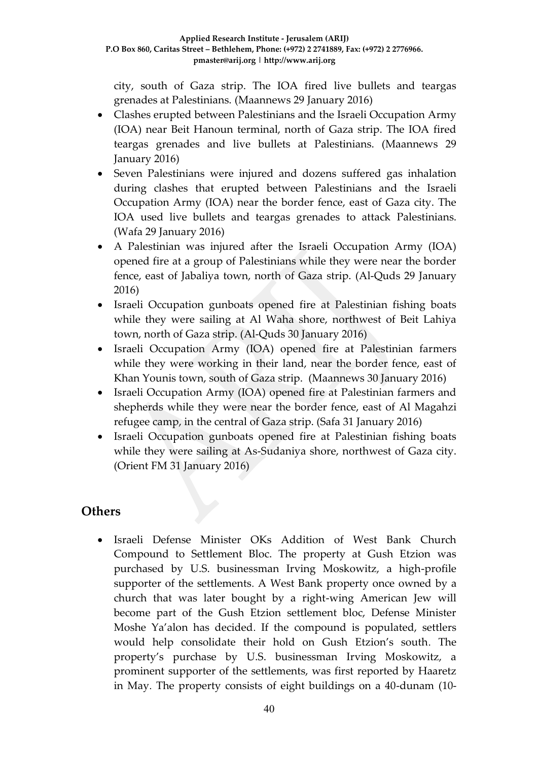city, south of Gaza strip. The IOA fired live bullets and teargas grenades at Palestinians. (Maannews 29 January 2016)

- Clashes erupted between Palestinians and the Israeli Occupation Army (IOA) near Beit Hanoun terminal, north of Gaza strip. The IOA fired teargas grenades and live bullets at Palestinians. (Maannews 29 January 2016)
- Seven Palestinians were injured and dozens suffered gas inhalation during clashes that erupted between Palestinians and the Israeli Occupation Army (IOA) near the border fence, east of Gaza city. The IOA used live bullets and teargas grenades to attack Palestinians. (Wafa 29 January 2016)
- A Palestinian was injured after the Israeli Occupation Army (IOA) opened fire at a group of Palestinians while they were near the border fence, east of Jabaliya town, north of Gaza strip. (Al-Quds 29 January 2016)
- Israeli Occupation gunboats opened fire at Palestinian fishing boats while they were sailing at Al Waha shore, northwest of Beit Lahiya town, north of Gaza strip. (Al-Quds 30 January 2016)
- Israeli Occupation Army (IOA) opened fire at Palestinian farmers while they were working in their land, near the border fence, east of Khan Younis town, south of Gaza strip. (Maannews 30 January 2016)
- Israeli Occupation Army (IOA) opened fire at Palestinian farmers and shepherds while they were near the border fence, east of Al Magahzi refugee camp, in the central of Gaza strip. (Safa 31 January 2016)
- Israeli Occupation gunboats opened fire at Palestinian fishing boats while they were sailing at As-Sudaniya shore, northwest of Gaza city. (Orient FM 31 January 2016)

### **Others**

 Israeli Defense Minister OKs Addition of West Bank Church Compound to Settlement Bloc. The property at Gush Etzion was purchased by U.S. businessman Irving Moskowitz, a high-profile supporter of the settlements. A West Bank property once owned by a church that was later bought by a right-wing American Jew will become part of the Gush Etzion settlement bloc, Defense Minister Moshe Ya'alon has decided. If the compound is populated, settlers would help consolidate their hold on Gush Etzion's south. The property's purchase by U.S. businessman Irving Moskowitz, a prominent supporter of the settlements, was first reported by Haaretz in May. The property consists of eight buildings on a 40-dunam (10-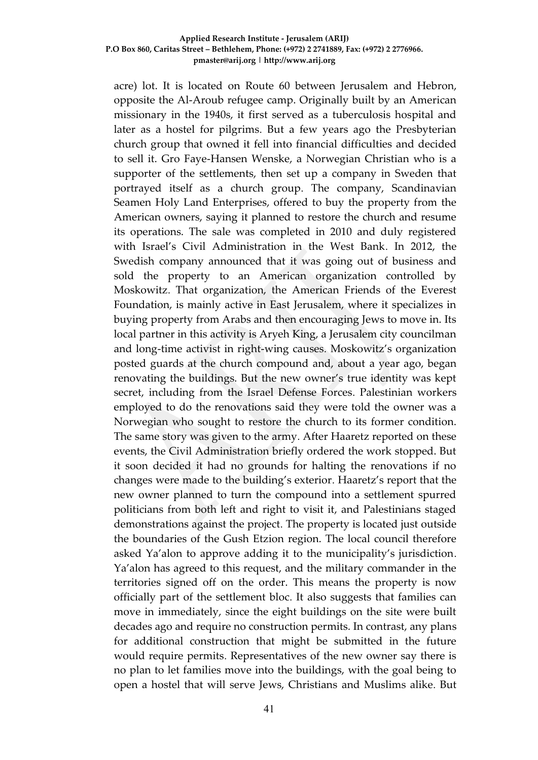acre) lot. It is located on Route 60 between Jerusalem and Hebron, opposite the Al-Aroub refugee camp. Originally built by an American missionary in the 1940s, it first served as a tuberculosis hospital and later as a hostel for pilgrims. But a few years ago the Presbyterian church group that owned it fell into financial difficulties and decided to sell it. Gro Faye-Hansen Wenske, a Norwegian Christian who is a supporter of the settlements, then set up a company in Sweden that portrayed itself as a church group. The company, Scandinavian Seamen Holy Land Enterprises, offered to buy the property from the American owners, saying it planned to restore the church and resume its operations. The sale was completed in 2010 and duly registered with Israel's Civil Administration in the West Bank. In 2012, the Swedish company announced that it was going out of business and sold the property to an American organization controlled by Moskowitz. That organization, the American Friends of the Everest Foundation, is mainly active in East Jerusalem, where it specializes in buying property from Arabs and then encouraging Jews to move in. Its local partner in this activity is Aryeh King, a Jerusalem city councilman and long-time activist in right-wing causes. Moskowitz's organization posted guards at the church compound and, about a year ago, began renovating the buildings. But the new owner's true identity was kept secret, including from the Israel Defense Forces. Palestinian workers employed to do the renovations said they were told the owner was a Norwegian who sought to restore the church to its former condition. The same story was given to the army. After Haaretz reported on these events, the Civil Administration briefly ordered the work stopped. But it soon decided it had no grounds for halting the renovations if no changes were made to the building's exterior. Haaretz's report that the new owner planned to turn the compound into a settlement spurred politicians from both left and right to visit it, and Palestinians staged demonstrations against the project. The property is located just outside the boundaries of the Gush Etzion region. The local council therefore asked Ya'alon to approve adding it to the municipality's jurisdiction. Ya'alon has agreed to this request, and the military commander in the territories signed off on the order. This means the property is now officially part of the settlement bloc. It also suggests that families can move in immediately, since the eight buildings on the site were built decades ago and require no construction permits. In contrast, any plans for additional construction that might be submitted in the future would require permits. Representatives of the new owner say there is no plan to let families move into the buildings, with the goal being to open a hostel that will serve Jews, Christians and Muslims alike. But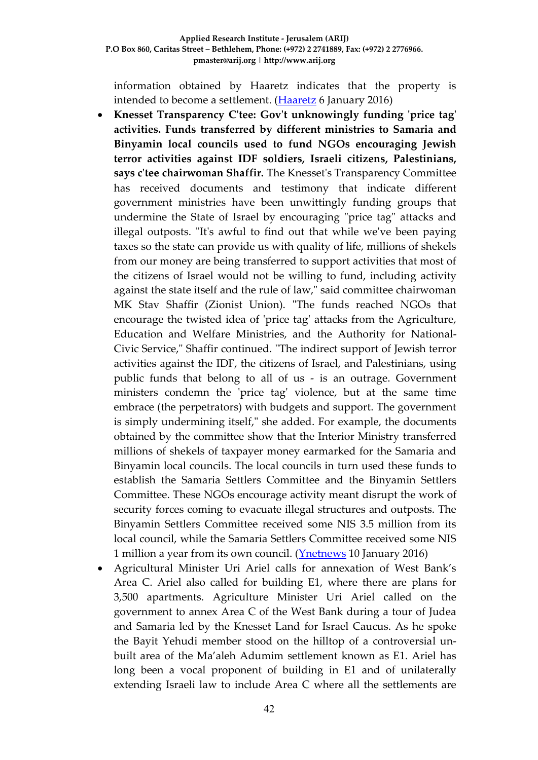information obtained by Haaretz indicates that the property is intended to become a settlement. [\(Haaretz](http://www.haaretz.com/israel-news/.premium-1.695735) 6 January 2016)

- **Knesset Transparency C'tee: Gov't unknowingly funding 'price tag' activities. Funds transferred by different ministries to Samaria and Binyamin local councils used to fund NGOs encouraging Jewish terror activities against IDF soldiers, Israeli citizens, Palestinians, says c'tee chairwoman Shaffir.** The Knesset's Transparency Committee has received documents and testimony that indicate different government ministries have been unwittingly funding groups that undermine the State of Israel by encouraging "price tag" attacks and illegal outposts. "It's awful to find out that while we've been paying taxes so the state can provide us with quality of life, millions of shekels from our money are being transferred to support activities that most of the citizens of Israel would not be willing to fund, including activity against the state itself and the rule of law," said committee chairwoman MK Stav Shaffir (Zionist Union). "The funds reached NGOs that encourage the twisted idea of 'price tag' attacks from the Agriculture, Education and Welfare Ministries, and the Authority for National-Civic Service," Shaffir continued. "The indirect support of Jewish terror activities against the IDF, the citizens of Israel, and Palestinians, using public funds that belong to all of us - is an outrage. Government ministers condemn the 'price tag' violence, but at the same time embrace (the perpetrators) with budgets and support. The government is simply undermining itself," she added. For example, the documents obtained by the committee show that the Interior Ministry transferred millions of shekels of taxpayer money earmarked for the Samaria and Binyamin local councils. The local councils in turn used these funds to establish the Samaria Settlers Committee and the Binyamin Settlers Committee. These NGOs encourage activity meant disrupt the work of security forces coming to evacuate illegal structures and outposts. The Binyamin Settlers Committee received some NIS 3.5 million from its local council, while the Samaria Settlers Committee received some NIS 1 million a year from its own council. [\(Ynetnews](http://www.ynetnews.com/articles/0,7340,L-4751015,00.html) 10 January 2016)
- Agricultural Minister Uri Ariel calls for annexation of West Bank's Area C. Ariel also called for building E1, where there are plans for 3,500 apartments. Agriculture Minister Uri Ariel called on the government to annex Area C of the West Bank during a tour of Judea and Samaria led by the Knesset Land for Israel Caucus. As he spoke the Bayit Yehudi member stood on the hilltop of a controversial unbuilt area of the Ma'aleh Adumim settlement known as E1. Ariel has long been a vocal proponent of building in E1 and of unilaterally extending Israeli law to include Area C where all the settlements are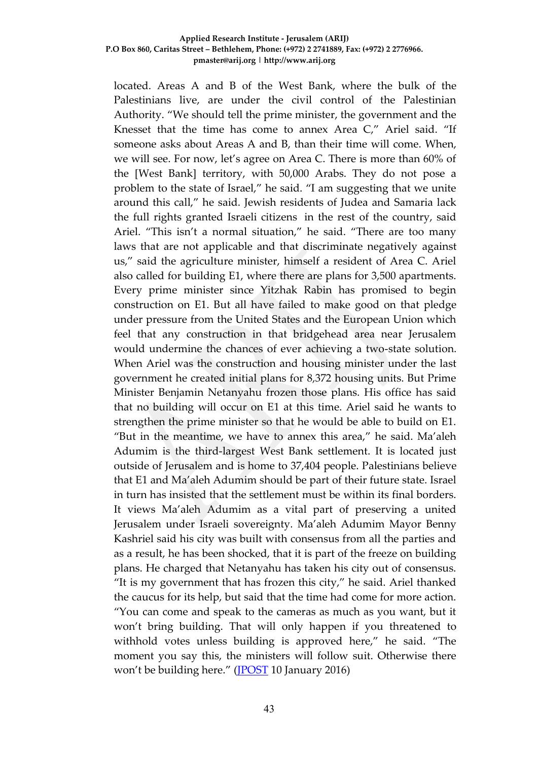located. Areas A and B of the West Bank, where the bulk of the Palestinians live, are under the civil control of the Palestinian Authority. "We should tell the prime minister, the government and the Knesset that the time has come to annex Area C," Ariel said. "If someone asks about Areas A and B, than their time will come. When, we will see. For now, let's agree on Area C. There is more than 60% of the [West Bank] territory, with 50,000 Arabs. They do not pose a problem to the state of Israel," he said. "I am suggesting that we unite around this call," he said. Jewish residents of Judea and Samaria lack the full rights granted Israeli citizens in the rest of the country, said Ariel. "This isn't a normal situation," he said. "There are too many laws that are not applicable and that discriminate negatively against us," said the agriculture minister, himself a resident of Area C. Ariel also called for building E1, where there are plans for 3,500 apartments. Every prime minister since Yitzhak Rabin has promised to begin construction on E1. But all have failed to make good on that pledge under pressure from the United States and the European Union which feel that any construction in that bridgehead area near Jerusalem would undermine the chances of ever achieving a two-state solution. When Ariel was the construction and housing minister under the last government he created initial plans for 8,372 housing units. But Prime Minister Benjamin Netanyahu frozen those plans. His office has said that no building will occur on E1 at this time. Ariel said he wants to strengthen the prime minister so that he would be able to build on E1. "But in the meantime, we have to annex this area," he said. Ma'aleh Adumim is the third-largest West Bank settlement. It is located just outside of Jerusalem and is home to 37,404 people. Palestinians believe that E1 and Ma'aleh Adumim should be part of their future state. Israel in turn has insisted that the settlement must be within its final borders. It views Ma'aleh Adumim as a vital part of preserving a united Jerusalem under Israeli sovereignty. Ma'aleh Adumim Mayor Benny Kashriel said his city was built with consensus from all the parties and as a result, he has been shocked, that it is part of the freeze on building plans. He charged that Netanyahu has taken his city out of consensus. "It is my government that has frozen this city," he said. Ariel thanked the caucus for its help, but said that the time had come for more action. "You can come and speak to the cameras as much as you want, but it won't bring building. That will only happen if you threatened to withhold votes unless building is approved here," he said. "The moment you say this, the ministers will follow suit. Otherwise there won't be building here." [\(JPOST](http://www.jpost.com/Israel-News/Politics-And-Diplomacy/Ariel-calls-for-annexation-of-West-Banks-Area-C-441054) 10 January 2016)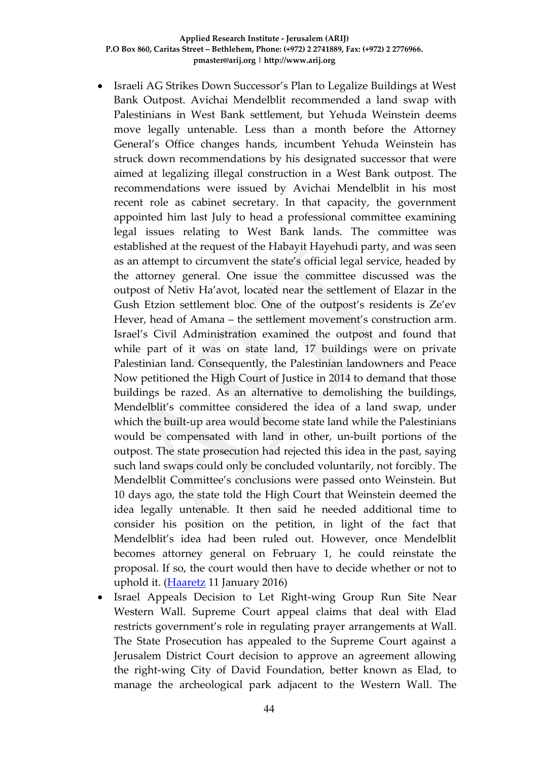- Israeli AG Strikes Down Successor's Plan to Legalize Buildings at West Bank Outpost. Avichai Mendelblit recommended a land swap with Palestinians in West Bank settlement, but Yehuda Weinstein deems move legally untenable. Less than a month before the Attorney General's Office changes hands, incumbent Yehuda Weinstein has struck down recommendations by his designated successor that were aimed at legalizing illegal construction in a West Bank outpost. The recommendations were issued by Avichai Mendelblit in his most recent role as cabinet secretary. In that capacity, the government appointed him last July to head a professional committee examining legal issues relating to West Bank lands. The committee was established at the request of the Habayit Hayehudi party, and was seen as an attempt to circumvent the state's official legal service, headed by the attorney general. One issue the committee discussed was the outpost of Netiv Ha'avot, located near the settlement of Elazar in the Gush Etzion settlement bloc. One of the outpost's residents is Ze'ev Hever, head of Amana – the settlement movement's construction arm. Israel's Civil Administration examined the outpost and found that while part of it was on state land, 17 buildings were on private Palestinian land. Consequently, the Palestinian landowners and Peace Now petitioned the High Court of Justice in 2014 to demand that those buildings be razed. As an alternative to demolishing the buildings, Mendelblit's committee considered the idea of a land swap, under which the built-up area would become state land while the Palestinians would be compensated with land in other, un-built portions of the outpost. The state prosecution had rejected this idea in the past, saying such land swaps could only be concluded voluntarily, not forcibly. The Mendelblit Committee's conclusions were passed onto Weinstein. But 10 days ago, the state told the High Court that Weinstein deemed the idea legally untenable. It then said he needed additional time to consider his position on the petition, in light of the fact that Mendelblit's idea had been ruled out. However, once Mendelblit becomes attorney general on February 1, he could reinstate the proposal. If so, the court would then have to decide whether or not to uphold it. [\(Haaretz](http://www.haaretz.com/israel-news/.premium-1.696638) 11 January 2016)
- Israel Appeals Decision to Let Right-wing Group Run Site Near Western Wall. Supreme Court appeal claims that deal with Elad restricts government's role in regulating prayer arrangements at Wall. The State Prosecution has appealed to the Supreme Court against a Jerusalem District Court decision to approve an agreement allowing the right-wing City of David Foundation, better known as Elad, to manage the archeological park adjacent to the Western Wall. The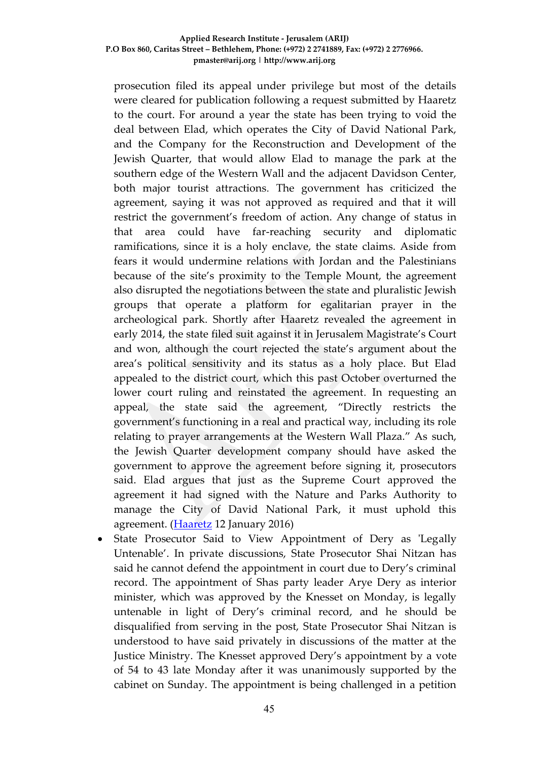prosecution filed its appeal under privilege but most of the details were cleared for publication following a request submitted by Haaretz to the court. For around a year the state has been trying to void the deal between Elad, which operates the City of David National Park, and the Company for the Reconstruction and Development of the Jewish Quarter, that would allow Elad to manage the park at the southern edge of the Western Wall and the adjacent Davidson Center, both major tourist attractions. The government has criticized the agreement, saying it was not approved as required and that it will restrict the government's freedom of action. Any change of status in that area could have far-reaching security and diplomatic ramifications, since it is a holy enclave, the state claims. Aside from fears it would undermine relations with Jordan and the Palestinians because of the site's proximity to the Temple Mount, the agreement also disrupted the negotiations between the state and pluralistic Jewish groups that operate a platform for egalitarian prayer in the archeological park. Shortly after Haaretz revealed the agreement in early 2014, the state filed suit against it in Jerusalem Magistrate's Court and won, although the court rejected the state's argument about the area's political sensitivity and its status as a holy place. But Elad appealed to the district court, which this past October overturned the lower court ruling and reinstated the agreement. In requesting an appeal, the state said the agreement, "Directly restricts the government's functioning in a real and practical way, including its role relating to prayer arrangements at the Western Wall Plaza." As such, the Jewish Quarter development company should have asked the government to approve the agreement before signing it, prosecutors said. Elad argues that just as the Supreme Court approved the agreement it had signed with the Nature and Parks Authority to manage the City of David National Park, it must uphold this agreement. [\(Haaretz](http://www.haaretz.com/israel-news/.premium-1.696908) 12 January 2016)

 State Prosecutor Said to View Appointment of Dery as 'Legally Untenable'. In private discussions, State Prosecutor Shai Nitzan has said he cannot defend the appointment in court due to Dery's criminal record. The appointment of Shas party leader Arye Dery as interior minister, which was approved by the Knesset on Monday, is legally untenable in light of Dery's criminal record, and he should be disqualified from serving in the post, State Prosecutor Shai Nitzan is understood to have said privately in discussions of the matter at the Justice Ministry. The Knesset approved Dery's appointment by a vote of 54 to 43 late Monday after it was unanimously supported by the cabinet on Sunday. The appointment is being challenged in a petition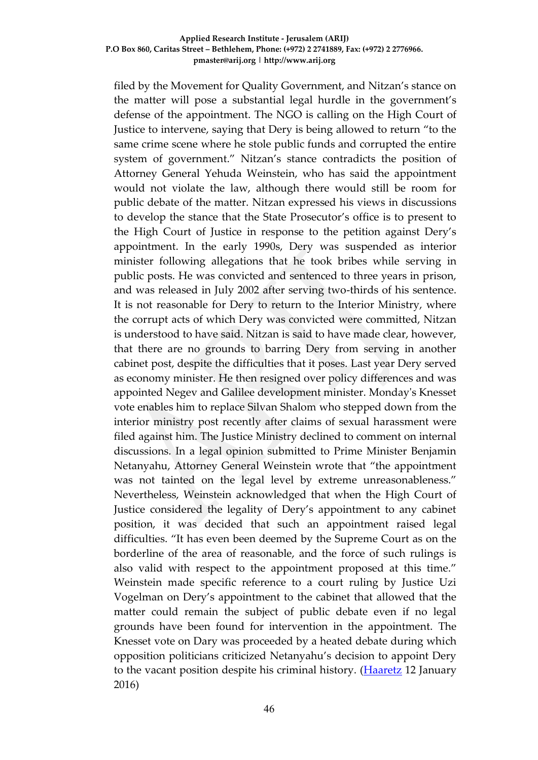filed by the Movement for Quality Government, and Nitzan's stance on the matter will pose a substantial legal hurdle in the government's defense of the appointment. The NGO is calling on the High Court of Justice to intervene, saying that Dery is being allowed to return "to the same crime scene where he stole public funds and corrupted the entire system of government." Nitzan's stance contradicts the position of Attorney General Yehuda Weinstein, who has said the appointment would not violate the law, although there would still be room for public debate of the matter. Nitzan expressed his views in discussions to develop the stance that the State Prosecutor's office is to present to the High Court of Justice in response to the petition against Dery's appointment. In the early 1990s, Dery was suspended as interior minister following allegations that he took bribes while serving in public posts. He was convicted and sentenced to three years in prison, and was released in July 2002 after serving two-thirds of his sentence. It is not reasonable for Dery to return to the Interior Ministry, where the corrupt acts of which Dery was convicted were committed, Nitzan is understood to have said. Nitzan is said to have made clear, however, that there are no grounds to barring Dery from serving in another cabinet post, despite the difficulties that it poses. Last year Dery served as economy minister. He then resigned over policy differences and was appointed Negev and Galilee development minister. Monday's Knesset vote enables him to replace Silvan Shalom who stepped down from the interior ministry post recently after claims of sexual harassment were filed against him. The Justice Ministry declined to comment on internal discussions. In a legal opinion submitted to Prime Minister Benjamin Netanyahu, Attorney General Weinstein wrote that "the appointment was not tainted on the legal level by extreme unreasonableness." Nevertheless, Weinstein acknowledged that when the High Court of Justice considered the legality of Dery's appointment to any cabinet position, it was decided that such an appointment raised legal difficulties. "It has even been deemed by the Supreme Court as on the borderline of the area of reasonable, and the force of such rulings is also valid with respect to the appointment proposed at this time." Weinstein made specific reference to a court ruling by Justice Uzi Vogelman on Dery's appointment to the cabinet that allowed that the matter could remain the subject of public debate even if no legal grounds have been found for intervention in the appointment. The Knesset vote on Dary was proceeded by a heated debate during which opposition politicians criticized Netanyahu's decision to appoint Dery to the vacant position despite his criminal history. [\(Haaretz](http://www.haaretz.com/israel-news/.premium-1.696900) 12 January 2016)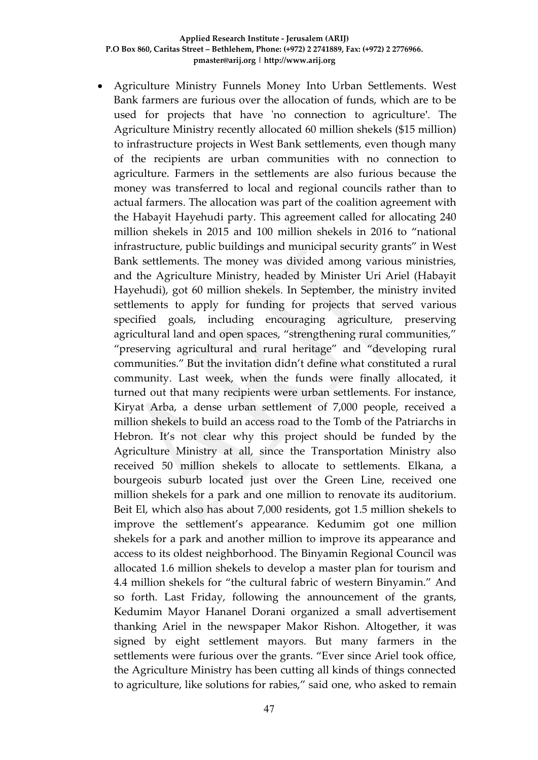Agriculture Ministry Funnels Money Into Urban Settlements. West Bank farmers are furious over the allocation of funds, which are to be used for projects that have 'no connection to agriculture'. The Agriculture Ministry recently allocated 60 million shekels (\$15 million) to infrastructure projects in West Bank settlements, even though many of the recipients are urban communities with no connection to agriculture. Farmers in the settlements are also furious because the money was transferred to local and regional councils rather than to actual farmers. The allocation was part of the coalition agreement with the Habayit Hayehudi party. This agreement called for allocating 240 million shekels in 2015 and 100 million shekels in 2016 to "national infrastructure, public buildings and municipal security grants" in West Bank settlements. The money was divided among various ministries, and the Agriculture Ministry, headed by Minister Uri Ariel (Habayit Hayehudi), got 60 million shekels. In September, the ministry invited settlements to apply for funding for projects that served various specified goals, including encouraging agriculture, preserving agricultural land and open spaces, "strengthening rural communities," "preserving agricultural and rural heritage" and "developing rural communities." But the invitation didn't define what constituted a rural community. Last week, when the funds were finally allocated, it turned out that many recipients were urban settlements. For instance, Kiryat Arba, a dense urban settlement of 7,000 people, received a million shekels to build an access road to the Tomb of the Patriarchs in Hebron. It's not clear why this project should be funded by the Agriculture Ministry at all, since the Transportation Ministry also received 50 million shekels to allocate to settlements. Elkana, a bourgeois suburb located just over the Green Line, received one million shekels for a park and one million to renovate its auditorium. Beit El, which also has about 7,000 residents, got 1.5 million shekels to improve the settlement's appearance. Kedumim got one million shekels for a park and another million to improve its appearance and access to its oldest neighborhood. The Binyamin Regional Council was allocated 1.6 million shekels to develop a master plan for tourism and 4.4 million shekels for "the cultural fabric of western Binyamin." And so forth. Last Friday, following the announcement of the grants, Kedumim Mayor Hananel Dorani organized a small advertisement thanking Ariel in the newspaper Makor Rishon. Altogether, it was signed by eight settlement mayors. But many farmers in the settlements were furious over the grants. "Ever since Ariel took office, the Agriculture Ministry has been cutting all kinds of things connected to agriculture, like solutions for rabies," said one, who asked to remain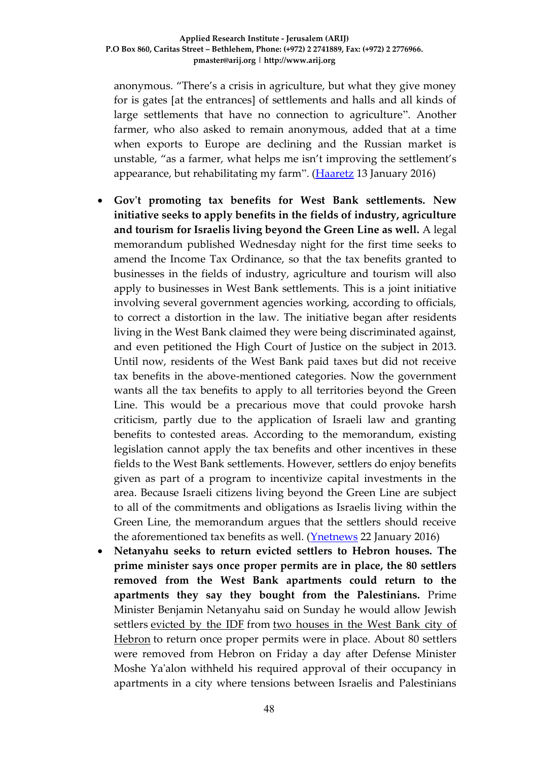anonymous. "There's a crisis in agriculture, but what they give money for is gates [at the entrances] of settlements and halls and all kinds of large settlements that have no connection to agriculture". Another farmer, who also asked to remain anonymous, added that at a time when exports to Europe are declining and the Russian market is unstable, "as a farmer, what helps me isn't improving the settlement's appearance, but rehabilitating my farm". [\(Haaretz](http://www.haaretz.com/israel-news/.premium-1.697095) 13 January 2016)

- **Gov't promoting tax benefits for West Bank settlements. New initiative seeks to apply benefits in the fields of industry, agriculture and tourism for Israelis living beyond the Green Line as well.** A legal memorandum published Wednesday night for the first time seeks to amend the Income Tax Ordinance, so that the tax benefits granted to businesses in the fields of industry, agriculture and tourism will also apply to businesses in West Bank settlements. This is a joint initiative involving several government agencies working, according to officials, to correct a distortion in the law. The initiative began after residents living in the West Bank claimed they were being discriminated against, and even petitioned the High Court of Justice on the subject in 2013. Until now, residents of the West Bank paid taxes but did not receive tax benefits in the above-mentioned categories. Now the government wants all the tax benefits to apply to all territories beyond the Green Line. This would be a precarious move that could provoke harsh criticism, partly due to the application of Israeli law and granting benefits to contested areas. According to the memorandum, existing legislation cannot apply the tax benefits and other incentives in these fields to the West Bank settlements. However, settlers do enjoy benefits given as part of a program to incentivize capital investments in the area. Because Israeli citizens living beyond the Green Line are subject to all of the commitments and obligations as Israelis living within the Green Line, the memorandum argues that the settlers should receive the aforementioned tax benefits as well. [\(Ynetnews](http://www.ynetnews.com/articles/0,7340,L-4756094,00.html) 22 January 2016)
- **Netanyahu seeks to return evicted settlers to Hebron houses. The prime minister says once proper permits are in place, the 80 settlers removed from the West Bank apartments could return to the apartments they say they bought from the Palestinians.** Prime Minister Benjamin Netanyahu said on Sunday he would allow Jewish settlers [evicted by the IDF](http://www.ynetnews.com/articles/0,7340,L-4756399,00.html) from [two houses in the West Bank city of](http://www.ynetnews.com/articles/0,7340,L-4756116,00.html)  [Hebron](http://www.ynetnews.com/articles/0,7340,L-4756116,00.html) to return once proper permits were in place. About 80 settlers were removed from Hebron on Friday a day after Defense Minister Moshe Ya'alon withheld his required approval of their occupancy in apartments in a city where tensions between Israelis and Palestinians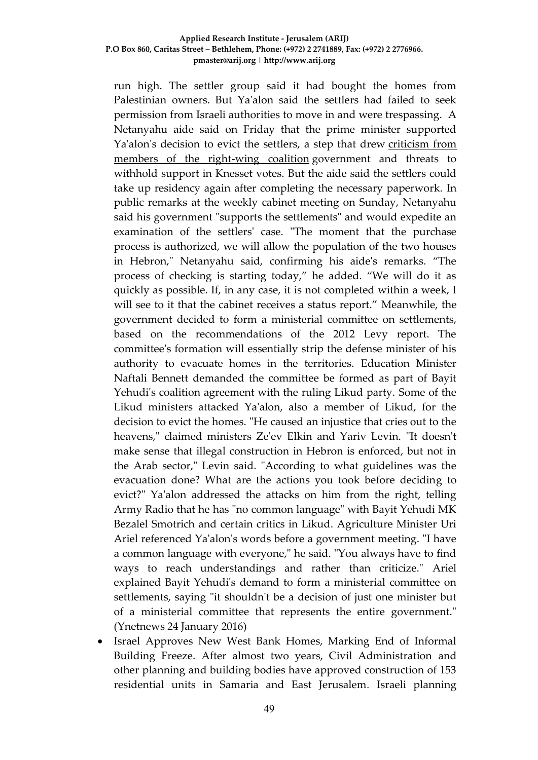run high. The settler group said it had bought the homes from Palestinian owners. But Ya'alon said the settlers had failed to seek permission from Israeli authorities to move in and were trespassing. A Netanyahu aide said on Friday that the prime minister supported Ya'alon's decision to evict the settlers, a step that drew [criticism from](http://www.ynetnews.com/articles/0,7340,L-4756482,00.html)  [members of the right-wing coalition](http://www.ynetnews.com/articles/0,7340,L-4756482,00.html) government and threats to withhold support in Knesset votes. But the aide said the settlers could take up residency again after completing the necessary paperwork. In public remarks at the weekly cabinet meeting on Sunday, Netanyahu said his government "supports the settlements" and would expedite an examination of the settlers' case. "The moment that the purchase process is authorized, we will allow the population of the two houses in Hebron," Netanyahu said, confirming his aide's remarks. "The process of checking is starting today," he added. "We will do it as quickly as possible. If, in any case, it is not completed within a week, I will see to it that the cabinet receives a status report." Meanwhile, the government decided to form a ministerial committee on settlements, based on the recommendations of the 2012 Levy report. The committee's formation will essentially strip the defense minister of his authority to evacuate homes in the territories. Education Minister Naftali Bennett demanded the committee be formed as part of Bayit Yehudi's coalition agreement with the ruling Likud party. Some of the Likud ministers attacked Ya'alon, also a member of Likud, for the decision to evict the homes. "He caused an injustice that cries out to the heavens," claimed ministers Ze'ev Elkin and Yariv Levin. "It doesn't make sense that illegal construction in Hebron is enforced, but not in the Arab sector," Levin said. "According to what guidelines was the evacuation done? What are the actions you took before deciding to evict?" Ya'alon addressed the attacks on him from the right, telling Army Radio that he has "no common language" with Bayit Yehudi MK Bezalel Smotrich and certain critics in Likud. Agriculture Minister Uri Ariel referenced Ya'alon's words before a government meeting. "I have a common language with everyone," he said. "You always have to find ways to reach understandings and rather than criticize." Ariel explained Bayit Yehudi's demand to form a ministerial committee on settlements, saying "it shouldn't be a decision of just one minister but of a ministerial committee that represents the entire government." (Ynetnews 24 January 2016)

 Israel Approves New West Bank Homes, Marking End of Informal Building Freeze. After almost two years, Civil Administration and other planning and building bodies have approved construction of 153 residential units in Samaria and East Jerusalem. Israeli planning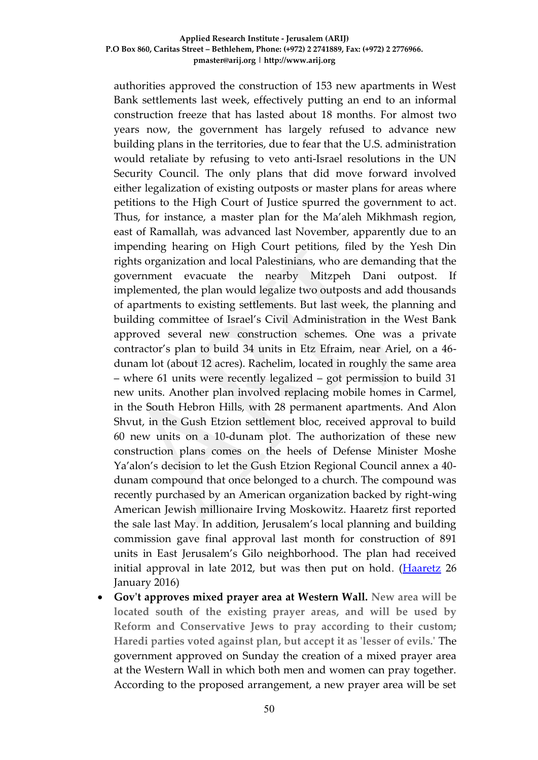authorities approved the construction of 153 new apartments in West Bank settlements last week, effectively putting an end to an informal construction freeze that has lasted about 18 months. For almost two years now, the government has largely refused to advance new building plans in the territories, due to fear that the U.S. administration would retaliate by refusing to veto anti-Israel resolutions in the UN Security Council. The only plans that did move forward involved either legalization of existing outposts or master plans for areas where petitions to the High Court of Justice spurred the government to act. Thus, for instance, a master plan for the Ma'aleh Mikhmash region, east of Ramallah, was advanced last November, apparently due to an impending hearing on High Court petitions, filed by the Yesh Din rights organization and local Palestinians, who are demanding that the government evacuate the nearby Mitzpeh Dani outpost. implemented, the plan would legalize two outposts and add thousands of apartments to existing settlements. But last week, the planning and building committee of Israel's Civil Administration in the West Bank approved several new construction schemes. One was a private contractor's plan to build 34 units in Etz Efraim, near Ariel, on a 46 dunam lot (about 12 acres). Rachelim, located in roughly the same area – where 61 units were recently legalized – got permission to build 31 new units. Another plan involved replacing mobile homes in Carmel, in the South Hebron Hills, with 28 permanent apartments. And Alon Shvut, in the Gush Etzion settlement bloc, received approval to build 60 new units on a 10-dunam plot. The authorization of these new construction plans comes on the heels of Defense Minister Moshe Ya'alon's decision to let the Gush Etzion Regional Council annex a 40 dunam compound that once belonged to a church. The compound was recently purchased by an American organization backed by right-wing American Jewish millionaire Irving Moskowitz. Haaretz first reported the sale last May. In addition, Jerusalem's local planning and building commission gave final approval last month for construction of 891 units in East Jerusalem's Gilo neighborhood. The plan had received initial approval in late 2012, but was then put on hold. [\(Haaretz](http://www.haaretz.com/israel-news/.premium-1.699454) 26 January 2016)

 **Gov't approves mixed prayer area at Western Wall. New area will be located south of the existing prayer areas, and will be used by Reform and Conservative Jews to pray according to their custom; Haredi parties voted against plan, but accept it as 'lesser of evils.'** The government approved on Sunday the creation of a mixed prayer area at the Western Wall in which both men and women can pray together. According to the proposed arrangement, a new prayer area will be set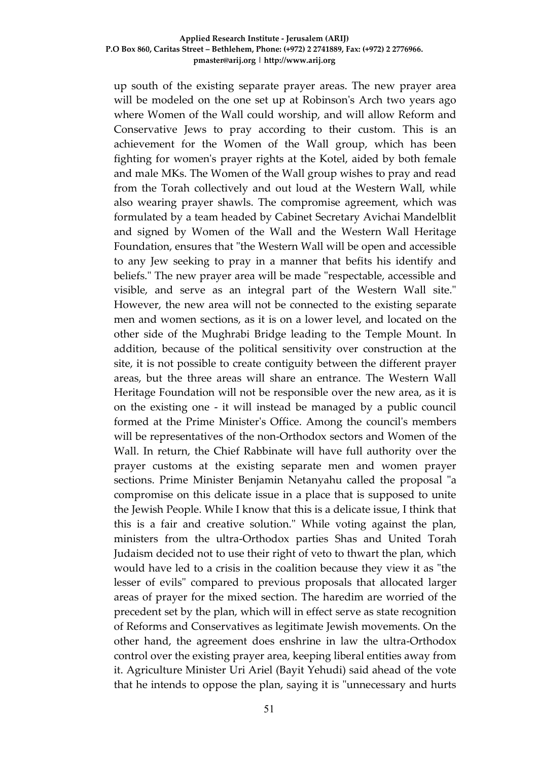up south of the existing separate prayer areas. The new prayer area will be modeled on the one set up at Robinson's Arch two years ago where Women of the Wall could worship, and will allow Reform and Conservative Jews to pray according to their custom. This is an achievement for the Women of the Wall group, which has been fighting for women's prayer rights at the Kotel, aided by both female and male MKs. The Women of the Wall group wishes to pray and read from the Torah collectively and out loud at the Western Wall, while also wearing prayer shawls. The compromise agreement, which was formulated by a team headed by Cabinet Secretary Avichai Mandelblit and signed by Women of the Wall and the Western Wall Heritage Foundation, ensures that "the Western Wall will be open and accessible to any Jew seeking to pray in a manner that befits his identify and beliefs." The new prayer area will be made "respectable, accessible and visible, and serve as an integral part of the Western Wall site." However, the new area will not be connected to the existing separate men and women sections, as it is on a lower level, and located on the other side of the Mughrabi Bridge leading to the Temple Mount. In addition, because of the political sensitivity over construction at the site, it is not possible to create contiguity between the different prayer areas, but the three areas will share an entrance. The Western Wall Heritage Foundation will not be responsible over the new area, as it is on the existing one - it will instead be managed by a public council formed at the Prime Minister's Office. Among the council's members will be representatives of the non-Orthodox sectors and Women of the Wall. In return, the Chief Rabbinate will have full authority over the prayer customs at the existing separate men and women prayer sections. Prime Minister Benjamin Netanyahu called the proposal "a compromise on this delicate issue in a place that is supposed to unite the Jewish People. While I know that this is a delicate issue, I think that this is a fair and creative solution." While voting against the plan, ministers from the ultra-Orthodox parties Shas and United Torah Judaism decided not to use their right of veto to thwart the plan, which would have led to a crisis in the coalition because they view it as "the lesser of evils" compared to previous proposals that allocated larger areas of prayer for the mixed section. The haredim are worried of the precedent set by the plan, which will in effect serve as state recognition of Reforms and Conservatives as legitimate Jewish movements. On the other hand, the agreement does enshrine in law the ultra-Orthodox control over the existing prayer area, keeping liberal entities away from it. Agriculture Minister Uri Ariel (Bayit Yehudi) said ahead of the vote that he intends to oppose the plan, saying it is "unnecessary and hurts